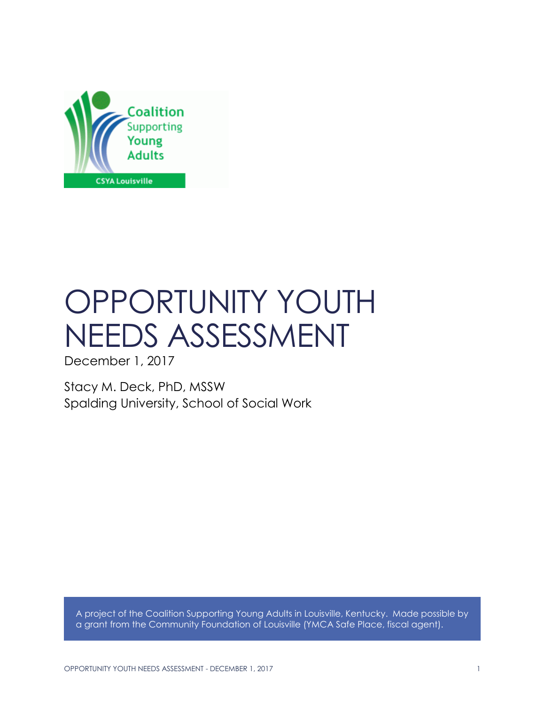

# OPPORTUNITY YOUTH NEEDS ASSESSMENT

December 1, 2017

Stacy M. Deck, PhD, MSSW Spalding University, School of Social Work

A project of the Coalition Supporting Young Adults in Louisville, Kentucky. Made possible by a grant from the Community Foundation of Louisville (YMCA Safe Place, fiscal agent).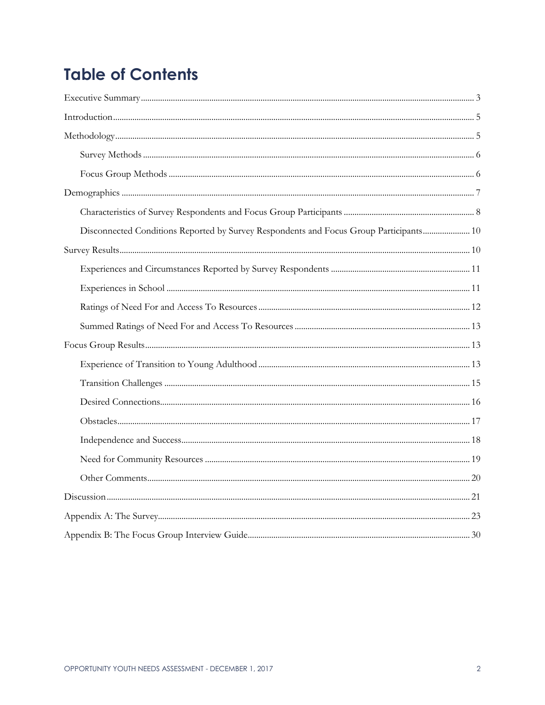# **Table of Contents**

| Disconnected Conditions Reported by Survey Respondents and Focus Group Participants 10 |  |
|----------------------------------------------------------------------------------------|--|
|                                                                                        |  |
|                                                                                        |  |
|                                                                                        |  |
|                                                                                        |  |
|                                                                                        |  |
|                                                                                        |  |
|                                                                                        |  |
|                                                                                        |  |
|                                                                                        |  |
|                                                                                        |  |
|                                                                                        |  |
|                                                                                        |  |
|                                                                                        |  |
|                                                                                        |  |
|                                                                                        |  |
|                                                                                        |  |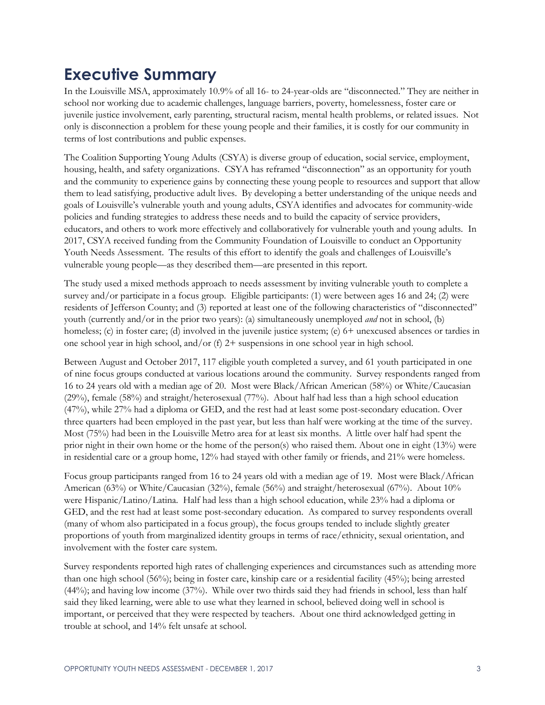# **Executive Summary**

In the Louisville MSA, approximately 10.9% of all 16- to 24-year-olds are "disconnected." They are neither in school nor working due to academic challenges, language barriers, poverty, homelessness, foster care or juvenile justice involvement, early parenting, structural racism, mental health problems, or related issues. Not only is disconnection a problem for these young people and their families, it is costly for our community in terms of lost contributions and public expenses.

The Coalition Supporting Young Adults (CSYA) is diverse group of education, social service, employment, housing, health, and safety organizations. CSYA has reframed "disconnection" as an opportunity for youth and the community to experience gains by connecting these young people to resources and support that allow them to lead satisfying, productive adult lives. By developing a better understanding of the unique needs and goals of Louisville's vulnerable youth and young adults, CSYA identifies and advocates for community-wide policies and funding strategies to address these needs and to build the capacity of service providers, educators, and others to work more effectively and collaboratively for vulnerable youth and young adults. In 2017, CSYA received funding from the Community Foundation of Louisville to conduct an Opportunity Youth Needs Assessment. The results of this effort to identify the goals and challenges of Louisville's vulnerable young people—as they described them—are presented in this report.

The study used a mixed methods approach to needs assessment by inviting vulnerable youth to complete a survey and/or participate in a focus group. Eligible participants: (1) were between ages 16 and 24; (2) were residents of Jefferson County; and (3) reported at least one of the following characteristics of "disconnected" youth (currently and/or in the prior two years): (a) simultaneously unemployed *and* not in school, (b) homeless; (c) in foster care; (d) involved in the juvenile justice system; (e) 6+ unexcused absences or tardies in one school year in high school, and/or (f)  $2+$  suspensions in one school year in high school.

Between August and October 2017, 117 eligible youth completed a survey, and 61 youth participated in one of nine focus groups conducted at various locations around the community. Survey respondents ranged from 16 to 24 years old with a median age of 20. Most were Black/African American (58%) or White/Caucasian (29%), female (58%) and straight/heterosexual (77%). About half had less than a high school education (47%), while 27% had a diploma or GED, and the rest had at least some post-secondary education. Over three quarters had been employed in the past year, but less than half were working at the time of the survey. Most (75%) had been in the Louisville Metro area for at least six months. A little over half had spent the prior night in their own home or the home of the person(s) who raised them. About one in eight (13%) were in residential care or a group home, 12% had stayed with other family or friends, and 21% were homeless.

Focus group participants ranged from 16 to 24 years old with a median age of 19. Most were Black/African American (63%) or White/Caucasian (32%), female (56%) and straight/heterosexual (67%). About 10% were Hispanic/Latino/Latina. Half had less than a high school education, while 23% had a diploma or GED, and the rest had at least some post-secondary education. As compared to survey respondents overall (many of whom also participated in a focus group), the focus groups tended to include slightly greater proportions of youth from marginalized identity groups in terms of race/ethnicity, sexual orientation, and involvement with the foster care system.

Survey respondents reported high rates of challenging experiences and circumstances such as attending more than one high school (56%); being in foster care, kinship care or a residential facility (45%); being arrested (44%); and having low income (37%). While over two thirds said they had friends in school, less than half said they liked learning, were able to use what they learned in school, believed doing well in school is important, or perceived that they were respected by teachers. About one third acknowledged getting in trouble at school, and 14% felt unsafe at school.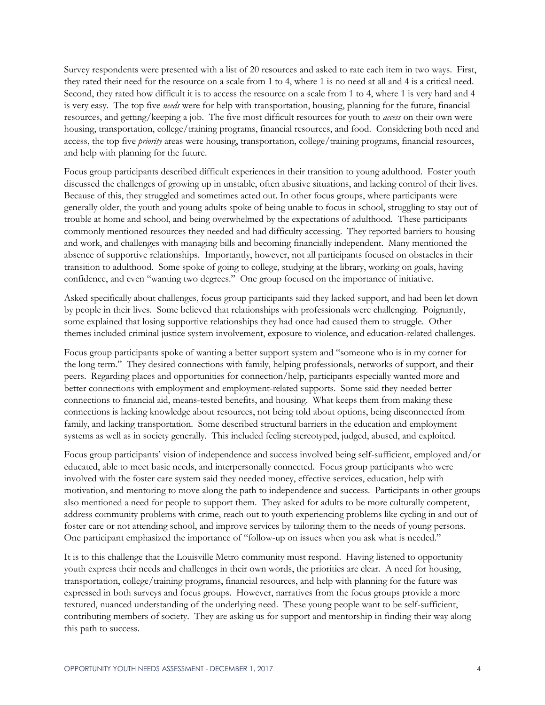Survey respondents were presented with a list of 20 resources and asked to rate each item in two ways. First, they rated their need for the resource on a scale from 1 to 4, where 1 is no need at all and 4 is a critical need. Second, they rated how difficult it is to access the resource on a scale from 1 to 4, where 1 is very hard and 4 is very easy. The top five *needs* were for help with transportation, housing, planning for the future, financial resources, and getting/keeping a job. The five most difficult resources for youth to *access* on their own were housing, transportation, college/training programs, financial resources, and food. Considering both need and access, the top five *priority* areas were housing, transportation, college/training programs, financial resources, and help with planning for the future.

Focus group participants described difficult experiences in their transition to young adulthood. Foster youth discussed the challenges of growing up in unstable, often abusive situations, and lacking control of their lives. Because of this, they struggled and sometimes acted out. In other focus groups, where participants were generally older, the youth and young adults spoke of being unable to focus in school, struggling to stay out of trouble at home and school, and being overwhelmed by the expectations of adulthood. These participants commonly mentioned resources they needed and had difficulty accessing. They reported barriers to housing and work, and challenges with managing bills and becoming financially independent. Many mentioned the absence of supportive relationships. Importantly, however, not all participants focused on obstacles in their transition to adulthood. Some spoke of going to college, studying at the library, working on goals, having confidence, and even "wanting two degrees." One group focused on the importance of initiative.

Asked specifically about challenges, focus group participants said they lacked support, and had been let down by people in their lives. Some believed that relationships with professionals were challenging. Poignantly, some explained that losing supportive relationships they had once had caused them to struggle. Other themes included criminal justice system involvement, exposure to violence, and education-related challenges.

Focus group participants spoke of wanting a better support system and "someone who is in my corner for the long term." They desired connections with family, helping professionals, networks of support, and their peers. Regarding places and opportunities for connection/help, participants especially wanted more and better connections with employment and employment-related supports. Some said they needed better connections to financial aid, means-tested benefits, and housing. What keeps them from making these connections is lacking knowledge about resources, not being told about options, being disconnected from family, and lacking transportation. Some described structural barriers in the education and employment systems as well as in society generally. This included feeling stereotyped, judged, abused, and exploited.

Focus group participants' vision of independence and success involved being self-sufficient, employed and/or educated, able to meet basic needs, and interpersonally connected. Focus group participants who were involved with the foster care system said they needed money, effective services, education, help with motivation, and mentoring to move along the path to independence and success. Participants in other groups also mentioned a need for people to support them. They asked for adults to be more culturally competent, address community problems with crime, reach out to youth experiencing problems like cycling in and out of foster care or not attending school, and improve services by tailoring them to the needs of young persons. One participant emphasized the importance of "follow-up on issues when you ask what is needed."

It is to this challenge that the Louisville Metro community must respond. Having listened to opportunity youth express their needs and challenges in their own words, the priorities are clear. A need for housing, transportation, college/training programs, financial resources, and help with planning for the future was expressed in both surveys and focus groups. However, narratives from the focus groups provide a more textured, nuanced understanding of the underlying need. These young people want to be self-sufficient, contributing members of society. They are asking us for support and mentorship in finding their way along this path to success.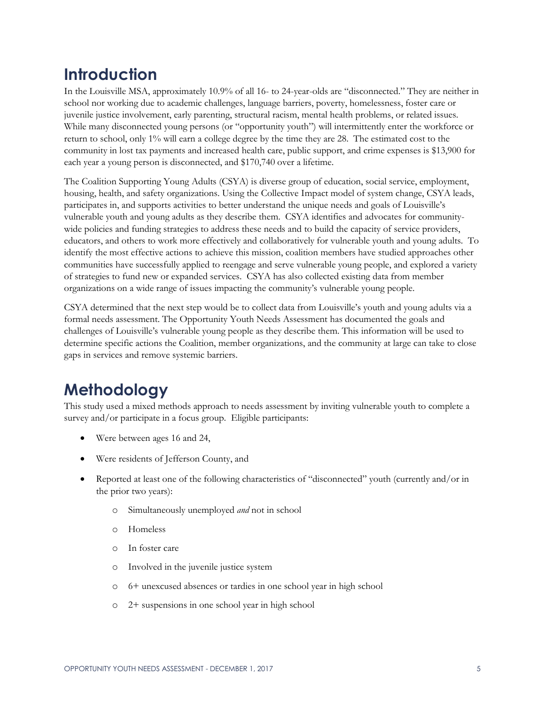# **Introduction**

In the Louisville MSA, approximately 10.9% of all 16- to 24-year-olds are "disconnected." They are neither in school nor working due to academic challenges, language barriers, poverty, homelessness, foster care or juvenile justice involvement, early parenting, structural racism, mental health problems, or related issues. While many disconnected young persons (or "opportunity youth") will intermittently enter the workforce or return to school, only 1% will earn a college degree by the time they are 28. The estimated cost to the community in lost tax payments and increased health care, public support, and crime expenses is \$13,900 for each year a young person is disconnected, and \$170,740 over a lifetime.

The Coalition Supporting Young Adults (CSYA) is diverse group of education, social service, employment, housing, health, and safety organizations. Using the Collective Impact model of system change, CSYA leads, participates in, and supports activities to better understand the unique needs and goals of Louisville's vulnerable youth and young adults as they describe them. CSYA identifies and advocates for communitywide policies and funding strategies to address these needs and to build the capacity of service providers, educators, and others to work more effectively and collaboratively for vulnerable youth and young adults. To identify the most effective actions to achieve this mission, coalition members have studied approaches other communities have successfully applied to reengage and serve vulnerable young people, and explored a variety of strategies to fund new or expanded services. CSYA has also collected existing data from member organizations on a wide range of issues impacting the community's vulnerable young people.

CSYA determined that the next step would be to collect data from Louisville's youth and young adults via a formal needs assessment. The Opportunity Youth Needs Assessment has documented the goals and challenges of Louisville's vulnerable young people as they describe them. This information will be used to determine specific actions the Coalition, member organizations, and the community at large can take to close gaps in services and remove systemic barriers.

# **Methodology**

This study used a mixed methods approach to needs assessment by inviting vulnerable youth to complete a survey and/or participate in a focus group. Eligible participants:

- Were between ages 16 and 24,
- Were residents of Jefferson County, and
- Reported at least one of the following characteristics of "disconnected" youth (currently and/or in the prior two years):
	- o Simultaneously unemployed *and* not in school
	- o Homeless
	- o In foster care
	- o Involved in the juvenile justice system
	- o 6+ unexcused absences or tardies in one school year in high school
	- o 2+ suspensions in one school year in high school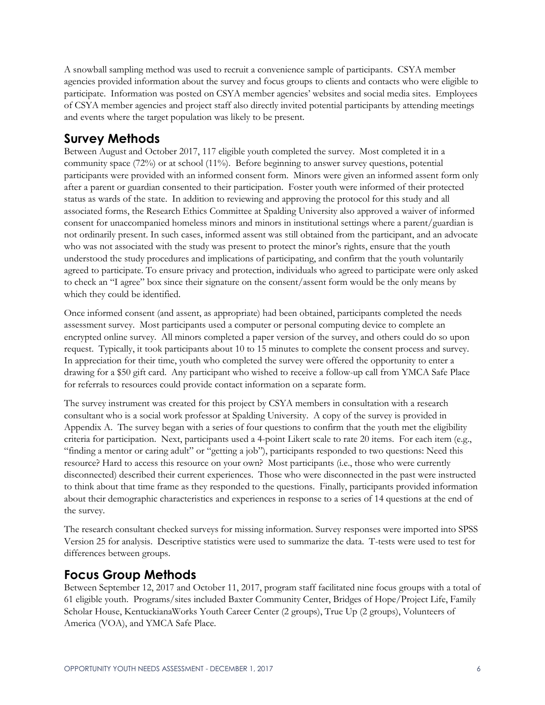A snowball sampling method was used to recruit a convenience sample of participants. CSYA member agencies provided information about the survey and focus groups to clients and contacts who were eligible to participate. Information was posted on CSYA member agencies' websites and social media sites. Employees of CSYA member agencies and project staff also directly invited potential participants by attending meetings and events where the target population was likely to be present.

### **Survey Methods**

Between August and October 2017, 117 eligible youth completed the survey. Most completed it in a community space (72%) or at school (11%). Before beginning to answer survey questions, potential participants were provided with an informed consent form. Minors were given an informed assent form only after a parent or guardian consented to their participation. Foster youth were informed of their protected status as wards of the state. In addition to reviewing and approving the protocol for this study and all associated forms, the Research Ethics Committee at Spalding University also approved a waiver of informed consent for unaccompanied homeless minors and minors in institutional settings where a parent/guardian is not ordinarily present. In such cases, informed assent was still obtained from the participant, and an advocate who was not associated with the study was present to protect the minor's rights, ensure that the youth understood the study procedures and implications of participating, and confirm that the youth voluntarily agreed to participate. To ensure privacy and protection, individuals who agreed to participate were only asked to check an "I agree" box since their signature on the consent/assent form would be the only means by which they could be identified.

Once informed consent (and assent, as appropriate) had been obtained, participants completed the needs assessment survey. Most participants used a computer or personal computing device to complete an encrypted online survey. All minors completed a paper version of the survey, and others could do so upon request. Typically, it took participants about 10 to 15 minutes to complete the consent process and survey. In appreciation for their time, youth who completed the survey were offered the opportunity to enter a drawing for a \$50 gift card. Any participant who wished to receive a follow-up call from YMCA Safe Place for referrals to resources could provide contact information on a separate form.

The survey instrument was created for this project by CSYA members in consultation with a research consultant who is a social work professor at Spalding University. A copy of the survey is provided in Appendix A. The survey began with a series of four questions to confirm that the youth met the eligibility criteria for participation. Next, participants used a 4-point Likert scale to rate 20 items. For each item (e.g., "finding a mentor or caring adult" or "getting a job"), participants responded to two questions: Need this resource? Hard to access this resource on your own? Most participants (i.e., those who were currently disconnected) described their current experiences. Those who were disconnected in the past were instructed to think about that time frame as they responded to the questions. Finally, participants provided information about their demographic characteristics and experiences in response to a series of 14 questions at the end of the survey.

The research consultant checked surveys for missing information. Survey responses were imported into SPSS Version 25 for analysis. Descriptive statistics were used to summarize the data. T-tests were used to test for differences between groups.

### **Focus Group Methods**

Between September 12, 2017 and October 11, 2017, program staff facilitated nine focus groups with a total of 61 eligible youth. Programs/sites included Baxter Community Center, Bridges of Hope/Project Life, Family Scholar House, KentuckianaWorks Youth Career Center (2 groups), True Up (2 groups), Volunteers of America (VOA), and YMCA Safe Place.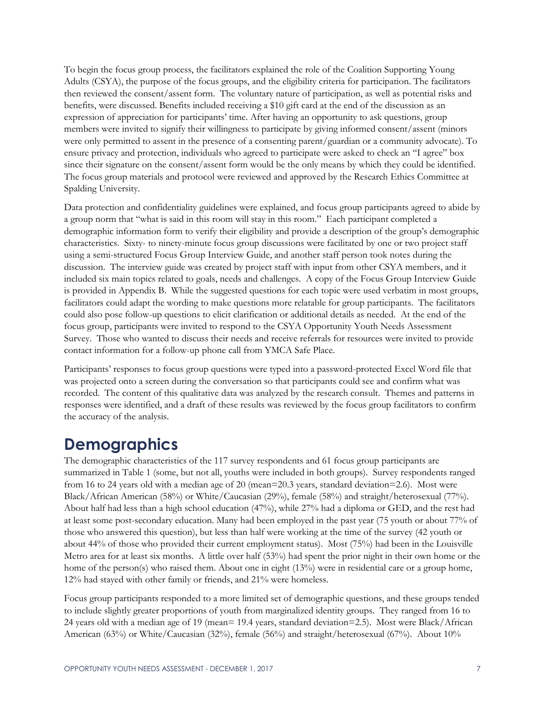To begin the focus group process, the facilitators explained the role of the Coalition Supporting Young Adults (CSYA), the purpose of the focus groups, and the eligibility criteria for participation. The facilitators then reviewed the consent/assent form. The voluntary nature of participation, as well as potential risks and benefits, were discussed. Benefits included receiving a \$10 gift card at the end of the discussion as an expression of appreciation for participants' time. After having an opportunity to ask questions, group members were invited to signify their willingness to participate by giving informed consent/assent (minors were only permitted to assent in the presence of a consenting parent/guardian or a community advocate). To ensure privacy and protection, individuals who agreed to participate were asked to check an "I agree" box since their signature on the consent/assent form would be the only means by which they could be identified. The focus group materials and protocol were reviewed and approved by the Research Ethics Committee at Spalding University.

Data protection and confidentiality guidelines were explained, and focus group participants agreed to abide by a group norm that "what is said in this room will stay in this room." Each participant completed a demographic information form to verify their eligibility and provide a description of the group's demographic characteristics. Sixty- to ninety-minute focus group discussions were facilitated by one or two project staff using a semi-structured Focus Group Interview Guide, and another staff person took notes during the discussion. The interview guide was created by project staff with input from other CSYA members, and it included six main topics related to goals, needs and challenges. A copy of the Focus Group Interview Guide is provided in Appendix B. While the suggested questions for each topic were used verbatim in most groups, facilitators could adapt the wording to make questions more relatable for group participants. The facilitators could also pose follow-up questions to elicit clarification or additional details as needed. At the end of the focus group, participants were invited to respond to the CSYA Opportunity Youth Needs Assessment Survey. Those who wanted to discuss their needs and receive referrals for resources were invited to provide contact information for a follow-up phone call from YMCA Safe Place.

Participants' responses to focus group questions were typed into a password-protected Excel Word file that was projected onto a screen during the conversation so that participants could see and confirm what was recorded. The content of this qualitative data was analyzed by the research consult. Themes and patterns in responses were identified, and a draft of these results was reviewed by the focus group facilitators to confirm the accuracy of the analysis.

# **Demographics**

The demographic characteristics of the 117 survey respondents and 61 focus group participants are summarized in Table 1 (some, but not all, youths were included in both groups). Survey respondents ranged from 16 to 24 years old with a median age of 20 (mean=20.3 years, standard deviation=2.6). Most were Black/African American (58%) or White/Caucasian (29%), female (58%) and straight/heterosexual (77%). About half had less than a high school education (47%), while 27% had a diploma or GED, and the rest had at least some post-secondary education. Many had been employed in the past year (75 youth or about 77% of those who answered this question), but less than half were working at the time of the survey (42 youth or about 44% of those who provided their current employment status). Most (75%) had been in the Louisville Metro area for at least six months. A little over half (53%) had spent the prior night in their own home or the home of the person(s) who raised them. About one in eight (13%) were in residential care or a group home, 12% had stayed with other family or friends, and 21% were homeless.

Focus group participants responded to a more limited set of demographic questions, and these groups tended to include slightly greater proportions of youth from marginalized identity groups. They ranged from 16 to 24 years old with a median age of 19 (mean= 19.4 years, standard deviation=2.5). Most were Black/African American (63%) or White/Caucasian (32%), female (56%) and straight/heterosexual (67%). About 10%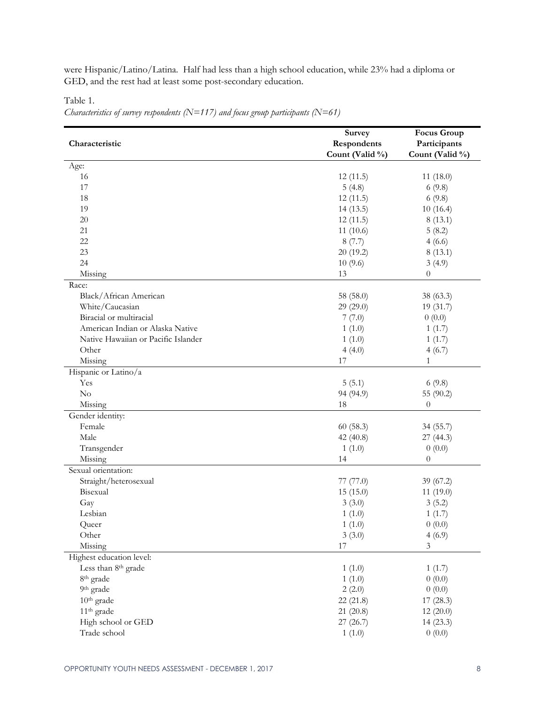were Hispanic/Latino/Latina. Half had less than a high school education, while 23% had a diploma or GED, and the rest had at least some post-secondary education.

Table 1.

*Characteristics of survey respondents (N=117) and focus group participants (N=61)*

|                                     | <b>Survey</b>   | <b>Focus Group</b> |
|-------------------------------------|-----------------|--------------------|
| Characteristic                      | Respondents     | Participants       |
|                                     | Count (Valid %) | Count (Valid %)    |
| Age:                                |                 |                    |
| 16                                  | 12(11.5)        | 11(18.0)           |
| 17                                  | 5(4.8)          | 6(9.8)             |
| 18                                  | 12(11.5)        | 6(9.8)             |
| 19                                  | 14(13.5)        | 10(16.4)           |
| $20\,$                              | 12(11.5)        | 8(13.1)            |
| 21                                  | 11(10.6)        | 5(8.2)             |
| 22                                  | 8(7.7)          | 4(6.6)             |
| 23                                  | 20(19.2)        | 8(13.1)            |
| 24                                  | 10(9.6)         | 3(4.9)             |
| Missing                             | 13              | $\boldsymbol{0}$   |
| Race:                               |                 |                    |
| Black/African American              | 58 (58.0)       | 38 (63.3)          |
| White/Caucasian                     | 29 (29.0)       | 19 (31.7)          |
| Biracial or multiracial             | 7(7.0)          | 0(0.0)             |
| American Indian or Alaska Native    | 1(1.0)          | 1(1.7)             |
| Native Hawaiian or Pacific Islander | 1(1.0)          | 1(1.7)             |
| Other                               | 4(4.0)          | 4(6.7)             |
| Missing                             | 17              | $\mathbf{1}$       |
| Hispanic or Latino/a                |                 |                    |
| Yes                                 | 5(5.1)          | 6(9.8)             |
| No                                  | 94 (94.9)       | 55 (90.2)          |
| Missing                             | 18              | $\overline{0}$     |
| Gender identity:                    |                 |                    |
| Female                              | 60(58.3)        | 34 (55.7)          |
| Male                                | 42(40.8)        | 27 (44.3)          |
| Transgender                         | 1(1.0)          | 0(0.0)             |
| Missing                             | 14              | $\theta$           |
| Sexual orientation:                 |                 |                    |
| Straight/heterosexual               | 77(77.0)        | 39 (67.2)          |
| Bisexual                            | 15(15.0)        | 11(19.0)           |
| Gay                                 | 3(3.0)          | 3(5.2)             |
| Lesbian                             | 1(1.0)          | 1(1.7)             |
| Queer                               | 1(1.0)          | 0(0.0)             |
| Other                               | 3(3.0)          | 4(6.9)             |
| Missing                             | 17              | $\mathfrak{Z}$     |
| Highest education level:            |                 |                    |
| Less than 8th grade                 | 1(1.0)          | 1(1.7)             |
| 8 <sup>th</sup> grade               | 1(1.0)          | 0(0.0)             |
| 9 <sup>th</sup> grade               | 2(2.0)          | 0(0.0)             |
| $10th$ grade                        | 22(21.8)        | 17(28.3)           |
| 11 <sup>th</sup> grade              | 21(20.8)        | 12(20.0)           |
| High school or GED                  | 27(26.7)        | 14(23.3)           |
| Trade school                        | 1(1.0)          | 0(0.0)             |
|                                     |                 |                    |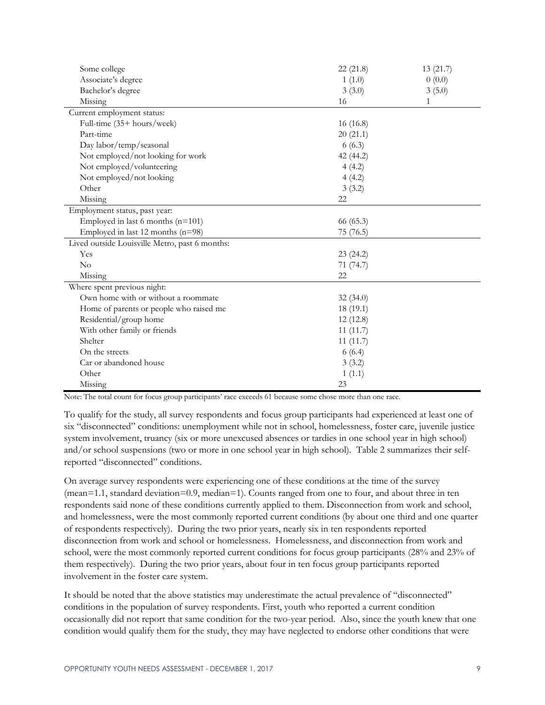| Some college                                   | 22(21.8)  | 13(21.7) |
|------------------------------------------------|-----------|----------|
| Associate's degree                             | 1(1.0)    | 0(0.0)   |
| Bachelor's degree                              | 3(3.0)    | 3(5.0)   |
| Missing                                        | 16        | 1        |
| Current employment status:                     |           |          |
| Full-time (35+ hours/week)                     | 16(16.8)  |          |
| Part-time                                      | 20(21.1)  |          |
| Day labor/temp/seasonal                        | 6(6.3)    |          |
| Not employed/not looking for work              | 42 (44.2) |          |
| Not employed/volunteering                      | 4(4.2)    |          |
| Not employed/not looking                       | 4(4.2)    |          |
| Other                                          | 3(3.2)    |          |
| Missing                                        | 22        |          |
| Employment status, past year:                  |           |          |
| Employed in last 6 months $(n=101)$            | 66 (65.3) |          |
| Employed in last 12 months (n=98)              | 75 (76.5) |          |
| Lived outside Louisville Metro, past 6 months: |           |          |
| Yes                                            | 23(24.2)  |          |
| No                                             | 71 (74.7) |          |
| Missing                                        | 22        |          |
| Where spent previous night:                    |           |          |
| Own home with or without a roommate            | 32(34.0)  |          |
| Home of parents or people who raised me        | 18(19.1)  |          |
| Residential/group home                         | 12(12.8)  |          |
| With other family or friends                   | 11(11.7)  |          |
| Shelter                                        | 11(11.7)  |          |
| On the streets                                 | 6(6.4)    |          |
| Car or abandoned house                         | 3(3.2)    |          |
| Other                                          | 1(1.1)    |          |
| Missing                                        | 23        |          |

Note: The total count for focus group participants' race exceeds 61 because some chose more than one race.

To qualify for the study, all survey respondents and focus group participants had experienced at least one of six "disconnected" conditions: unemployment while not in school, homelessness, foster care, juvenile justice system involvement, truancy (six or more unexcused absences or tardies in one school year in high school) and/or school suspensions (two or more in one school year in high school). Table 2 summarizes their selfreported "disconnected" conditions.

On average survey respondents were experiencing one of these conditions at the time of the survey (mean=1.1, standard deviation=0.9, median=1). Counts ranged from one to four, and about three in ten respondents said none of these conditions currently applied to them. Disconnection from work and school, and homelessness, were the most commonly reported current conditions (by about one third and one quarter of respondents respectively). During the two prior years, nearly six in ten respondents reported disconnection from work and school or homelessness. Homelessness, and disconnection from work and school, were the most commonly reported current conditions for focus group participants (28% and 23% of them respectively). During the two prior years, about four in ten focus group participants reported involvement in the foster care system.

It should be noted that the above statistics may underestimate the actual prevalence of "disconnected" conditions in the population of survey respondents. First, youth who reported a current condition occasionally did not report that same condition for the two-year period. Also, since the youth knew that one condition would qualify them for the study, they may have neglected to endorse other conditions that were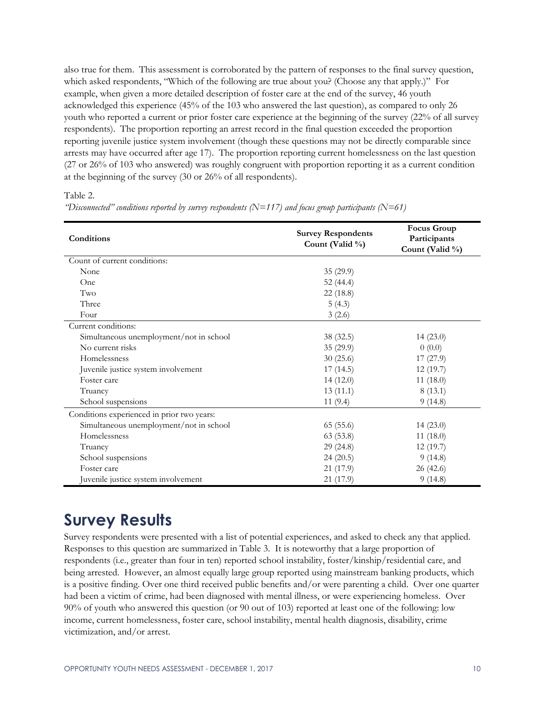also true for them. This assessment is corroborated by the pattern of responses to the final survey question, which asked respondents, "Which of the following are true about you? (Choose any that apply.)" For example, when given a more detailed description of foster care at the end of the survey, 46 youth acknowledged this experience (45% of the 103 who answered the last question), as compared to only 26 youth who reported a current or prior foster care experience at the beginning of the survey (22% of all survey respondents). The proportion reporting an arrest record in the final question exceeded the proportion reporting juvenile justice system involvement (though these questions may not be directly comparable since arrests may have occurred after age 17). The proportion reporting current homelessness on the last question (27 or 26% of 103 who answered) was roughly congruent with proportion reporting it as a current condition at the beginning of the survey (30 or 26% of all respondents).

Table 2.

| Conditions                                 | <b>Survey Respondents</b><br>Count (Valid %) | <b>Focus Group</b><br>Participants<br>Count (Valid %) |
|--------------------------------------------|----------------------------------------------|-------------------------------------------------------|
| Count of current conditions:               |                                              |                                                       |
| None                                       | 35(29.9)                                     |                                                       |
| One                                        | 52 $(44.4)$                                  |                                                       |
| Two                                        | 22 (18.8)                                    |                                                       |
| Three                                      | 5(4.3)                                       |                                                       |
| Four                                       | 3(2.6)                                       |                                                       |
| Current conditions:                        |                                              |                                                       |
| Simultaneous unemployment/not in school    | 38 (32.5)                                    | 14(23.0)                                              |
| No current risks                           | 35 (29.9)                                    | 0(0.0)                                                |
| Homelessness                               | 30(25.6)                                     | 17(27.9)                                              |
| Juvenile justice system involvement        | 17(14.5)                                     | 12(19.7)                                              |
| Foster care                                | 14(12.0)                                     | 11(18.0)                                              |
| Truancy                                    | 13(11.1)                                     | 8(13.1)                                               |
| School suspensions                         | 11(9.4)                                      | 9(14.8)                                               |
| Conditions experienced in prior two years: |                                              |                                                       |
| Simultaneous unemployment/not in school    | 65(55.6)                                     | 14(23.0)                                              |
| Homelessness                               | 63(53.8)                                     | 11(18.0)                                              |
| Truancy                                    | 29(24.8)                                     | 12(19.7)                                              |
| School suspensions                         | 24(20.5)                                     | 9(14.8)                                               |
| Foster care                                | 21 (17.9)                                    | 26(42.6)                                              |
| Juvenile justice system involvement        | 21 (17.9)                                    | 9(14.8)                                               |

*"Disconnected" conditions reported by survey respondents (N=117) and focus group participants (N=61)*

# **Survey Results**

Survey respondents were presented with a list of potential experiences, and asked to check any that applied. Responses to this question are summarized in Table 3. It is noteworthy that a large proportion of respondents (i.e., greater than four in ten) reported school instability, foster/kinship/residential care, and being arrested. However, an almost equally large group reported using mainstream banking products, which is a positive finding. Over one third received public benefits and/or were parenting a child. Over one quarter had been a victim of crime, had been diagnosed with mental illness, or were experiencing homeless. Over 90% of youth who answered this question (or 90 out of 103) reported at least one of the following: low income, current homelessness, foster care, school instability, mental health diagnosis, disability, crime victimization, and/or arrest.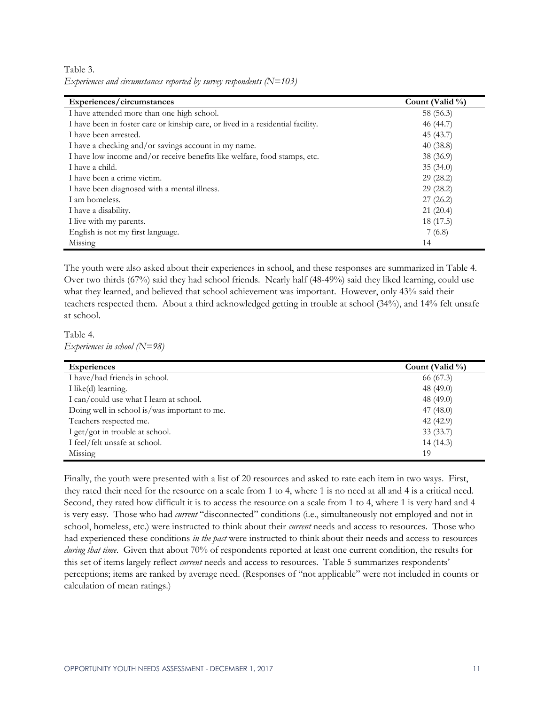Table 3. *Experiences and circumstances reported by survey respondents (N=103)*

| Experiences/circumstances                                                       | Count (Valid %) |
|---------------------------------------------------------------------------------|-----------------|
| I have attended more than one high school.                                      | 58 (56.3)       |
| I have been in foster care or kinship care, or lived in a residential facility. | 46 (44.7)       |
| I have been arrested.                                                           | 45 (43.7)       |
| I have a checking and/or savings account in my name.                            | 40(38.8)        |
| I have low income and/or receive benefits like welfare, food stamps, etc.       | 38 (36.9)       |
| I have a child.                                                                 | 35(34.0)        |
| I have been a crime victim.                                                     | 29(28.2)        |
| I have been diagnosed with a mental illness.                                    | 29(28.2)        |
| I am homeless.                                                                  | 27(26.2)        |
| I have a disability.                                                            | 21(20.4)        |
| I live with my parents.                                                         | 18 (17.5)       |
| English is not my first language.                                               | 7(6.8)          |
| Missing                                                                         | 14              |

The youth were also asked about their experiences in school, and these responses are summarized in Table 4. Over two thirds (67%) said they had school friends. Nearly half (48-49%) said they liked learning, could use what they learned, and believed that school achievement was important. However, only 43% said their teachers respected them. About a third acknowledged getting in trouble at school (34%), and 14% felt unsafe at school.

Table 4. *Experiences in school (N=98)*

| <b>Experiences</b>                           | Count (Valid %) |
|----------------------------------------------|-----------------|
| I have/had friends in school.                | 66 (67.3)       |
| I like(d) learning.                          | 48 (49.0)       |
| I can/could use what I learn at school.      | 48 $(49.0)$     |
| Doing well in school is/was important to me. | 47 $(48.0)$     |
| Teachers respected me.                       | 42 (42.9)       |
| I get/got in trouble at school.              | 33(33.7)        |
| I feel/felt unsafe at school.                | 14(14.3)        |
| Missing                                      | 19              |

Finally, the youth were presented with a list of 20 resources and asked to rate each item in two ways. First, they rated their need for the resource on a scale from 1 to 4, where 1 is no need at all and 4 is a critical need. Second, they rated how difficult it is to access the resource on a scale from 1 to 4, where 1 is very hard and 4 is very easy. Those who had *current* "disconnected" conditions (i.e., simultaneously not employed and not in school, homeless, etc.) were instructed to think about their *current* needs and access to resources. Those who had experienced these conditions *in the past* were instructed to think about their needs and access to resources *during that time*. Given that about 70% of respondents reported at least one current condition, the results for this set of items largely reflect *current* needs and access to resources. Table 5 summarizes respondents' perceptions; items are ranked by average need. (Responses of "not applicable" were not included in counts or calculation of mean ratings.)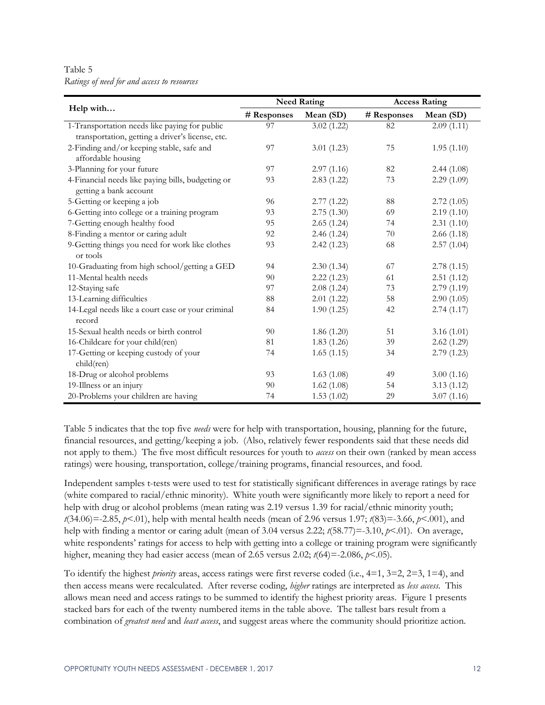Table 5 *Ratings of need for and access to resources*

|                                                   |             | <b>Need Rating</b> | <b>Access Rating</b> |            |  |
|---------------------------------------------------|-------------|--------------------|----------------------|------------|--|
| Help with                                         | # Responses | Mean (SD)          | # Responses          | Mean (SD)  |  |
| 1-Transportation needs like paying for public     | 97          | 3.02(1.22)         | 82                   | 2.09(1.11) |  |
| transportation, getting a driver's license, etc.  |             |                    |                      |            |  |
| 2-Finding and/or keeping stable, safe and         | 97          | 3.01(1.23)         | 75                   | 1.95(1.10) |  |
| affordable housing                                |             |                    |                      |            |  |
| 3-Planning for your future                        | 97          | 2.97(1.16)         | 82                   | 2.44(1.08) |  |
| 4-Financial needs like paying bills, budgeting or | 93          | 2.83(1.22)         | 73                   | 2.29(1.09) |  |
| getting a bank account                            |             |                    |                      |            |  |
| 5-Getting or keeping a job                        | 96          | 2.77(1.22)         | 88                   | 2.72(1.05) |  |
| 6-Getting into college or a training program      | 93          | 2.75(1.30)         | 69                   | 2.19(1.10) |  |
| 7-Getting enough healthy food                     | 95          | 2.65(1.24)         | 74                   | 2.31(1.10) |  |
| 8-Finding a mentor or caring adult                | 92          | 2.46(1.24)         | 70                   | 2.66(1.18) |  |
| 9-Getting things you need for work like clothes   | 93          | 2.42(1.23)         | 68                   | 2.57(1.04) |  |
| or tools                                          |             |                    |                      |            |  |
| 10-Graduating from high school/getting a GED      | 94          | 2.30(1.34)         | 67                   | 2.78(1.15) |  |
| 11-Mental health needs                            | 90          | 2.22(1.23)         | 61                   | 2.51(1.12) |  |
| 12-Staying safe                                   | 97          | 2.08(1.24)         | 73                   | 2.79(1.19) |  |
| 13-Learning difficulties                          | 88          | 2.01(1.22)         | 58                   | 2.90(1.05) |  |
| 14-Legal needs like a court case or your criminal | 84          | 1.90(1.25)         | 42                   | 2.74(1.17) |  |
| record                                            |             |                    |                      |            |  |
| 15-Sexual health needs or birth control           | 90          | 1.86(1.20)         | 51                   | 3.16(1.01) |  |
| 16-Childcare for your child(ren)                  | 81          | 1.83(1.26)         | 39                   | 2.62(1.29) |  |
| 17-Getting or keeping custody of your             | 74          | 1.65(1.15)         | 34                   | 2.79(1.23) |  |
| child(ren)                                        |             |                    |                      |            |  |
| 18-Drug or alcohol problems                       | 93          | 1.63(1.08)         | 49                   | 3.00(1.16) |  |
| 19-Illness or an injury                           | 90          | 1.62(1.08)         | 54                   | 3.13(1.12) |  |
| 20-Problems your children are having              | 74          | 1.53(1.02)         | 29                   | 3.07(1.16) |  |

Table 5 indicates that the top five *needs* were for help with transportation, housing, planning for the future, financial resources, and getting/keeping a job. (Also, relatively fewer respondents said that these needs did not apply to them.) The five most difficult resources for youth to *access* on their own (ranked by mean access ratings) were housing, transportation, college/training programs, financial resources, and food.

Independent samples t-tests were used to test for statistically significant differences in average ratings by race (white compared to racial/ethnic minority). White youth were significantly more likely to report a need for help with drug or alcohol problems (mean rating was 2.19 versus 1.39 for racial/ethnic minority youth; *t*(34.06)=-2.85, *p*<.01), help with mental health needs (mean of 2.96 versus 1.97; *t*(83)=-3.66, *p*<.001), and help with finding a mentor or caring adult (mean of 3.04 versus 2.22; *t*(58.77)=-3.10, *p*<.01). On average, white respondents' ratings for access to help with getting into a college or training program were significantly higher, meaning they had easier access (mean of 2.65 versus 2.02; *t*(64)=-2.086, *p*<.05).

To identify the highest *priority* areas, access ratings were first reverse coded (i.e., 4=1, 3=2, 2=3, 1=4), and then access means were recalculated. After reverse coding, *higher* ratings are interpreted as *less access.* This allows mean need and access ratings to be summed to identify the highest priority areas. Figure 1 presents stacked bars for each of the twenty numbered items in the table above. The tallest bars result from a combination of *greatest need* and *least access*, and suggest areas where the community should prioritize action.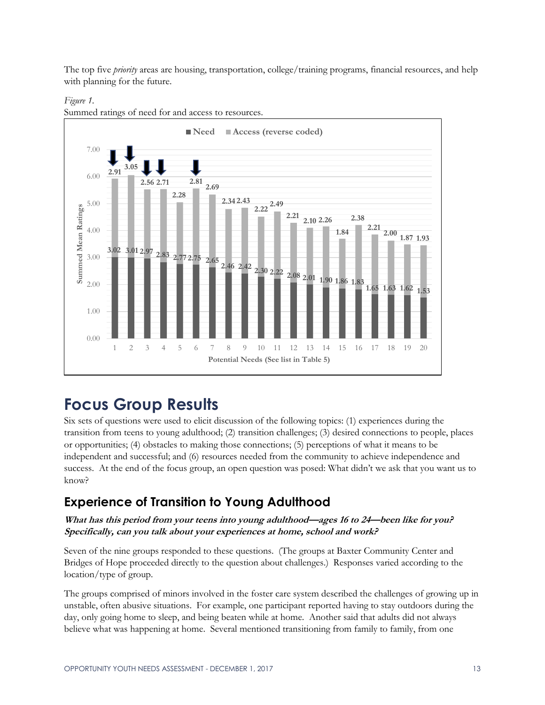The top five *priority* areas are housing, transportation, college/training programs, financial resources, and help with planning for the future.



Summed ratings of need for and access to resources.

*Figure 1.*

# **Focus Group Results**

Six sets of questions were used to elicit discussion of the following topics: (1) experiences during the transition from teens to young adulthood; (2) transition challenges; (3) desired connections to people, places or opportunities; (4) obstacles to making those connections; (5) perceptions of what it means to be independent and successful; and (6) resources needed from the community to achieve independence and success. At the end of the focus group, an open question was posed: What didn't we ask that you want us to know?

### **Experience of Transition to Young Adulthood**

**What has this period from your teens into young adulthood—ages 16 to 24—been like for you? Specifically, can you talk about your experiences at home, school and work?**

Seven of the nine groups responded to these questions. (The groups at Baxter Community Center and Bridges of Hope proceeded directly to the question about challenges.) Responses varied according to the location/type of group.

The groups comprised of minors involved in the foster care system described the challenges of growing up in unstable, often abusive situations. For example, one participant reported having to stay outdoors during the day, only going home to sleep, and being beaten while at home. Another said that adults did not always believe what was happening at home. Several mentioned transitioning from family to family, from one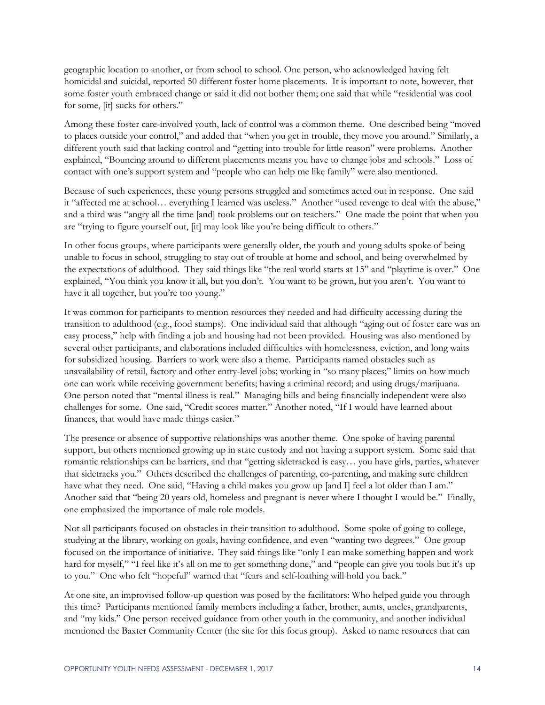geographic location to another, or from school to school. One person, who acknowledged having felt homicidal and suicidal, reported 50 different foster home placements. It is important to note, however, that some foster youth embraced change or said it did not bother them; one said that while "residential was cool for some, [it] sucks for others."

Among these foster care-involved youth, lack of control was a common theme. One described being "moved to places outside your control," and added that "when you get in trouble, they move you around." Similarly, a different youth said that lacking control and "getting into trouble for little reason" were problems. Another explained, "Bouncing around to different placements means you have to change jobs and schools." Loss of contact with one's support system and "people who can help me like family" were also mentioned.

Because of such experiences, these young persons struggled and sometimes acted out in response. One said it "affected me at school… everything I learned was useless." Another "used revenge to deal with the abuse," and a third was "angry all the time [and] took problems out on teachers." One made the point that when you are "trying to figure yourself out, [it] may look like you're being difficult to others."

In other focus groups, where participants were generally older, the youth and young adults spoke of being unable to focus in school, struggling to stay out of trouble at home and school, and being overwhelmed by the expectations of adulthood. They said things like "the real world starts at 15" and "playtime is over." One explained, "You think you know it all, but you don't. You want to be grown, but you aren't. You want to have it all together, but you're too young."

It was common for participants to mention resources they needed and had difficulty accessing during the transition to adulthood (e.g., food stamps). One individual said that although "aging out of foster care was an easy process," help with finding a job and housing had not been provided. Housing was also mentioned by several other participants, and elaborations included difficulties with homelessness, eviction, and long waits for subsidized housing. Barriers to work were also a theme. Participants named obstacles such as unavailability of retail, factory and other entry-level jobs; working in "so many places;" limits on how much one can work while receiving government benefits; having a criminal record; and using drugs/marijuana. One person noted that "mental illness is real." Managing bills and being financially independent were also challenges for some. One said, "Credit scores matter." Another noted, "If I would have learned about finances, that would have made things easier."

The presence or absence of supportive relationships was another theme. One spoke of having parental support, but others mentioned growing up in state custody and not having a support system. Some said that romantic relationships can be barriers, and that "getting sidetracked is easy… you have girls, parties, whatever that sidetracks you." Others described the challenges of parenting, co-parenting, and making sure children have what they need. One said, "Having a child makes you grow up [and I] feel a lot older than I am." Another said that "being 20 years old, homeless and pregnant is never where I thought I would be." Finally, one emphasized the importance of male role models.

Not all participants focused on obstacles in their transition to adulthood. Some spoke of going to college, studying at the library, working on goals, having confidence, and even "wanting two degrees." One group focused on the importance of initiative. They said things like "only I can make something happen and work hard for myself," "I feel like it's all on me to get something done," and "people can give you tools but it's up to you." One who felt "hopeful" warned that "fears and self-loathing will hold you back."

At one site, an improvised follow-up question was posed by the facilitators: Who helped guide you through this time? Participants mentioned family members including a father, brother, aunts, uncles, grandparents, and "my kids." One person received guidance from other youth in the community, and another individual mentioned the Baxter Community Center (the site for this focus group). Asked to name resources that can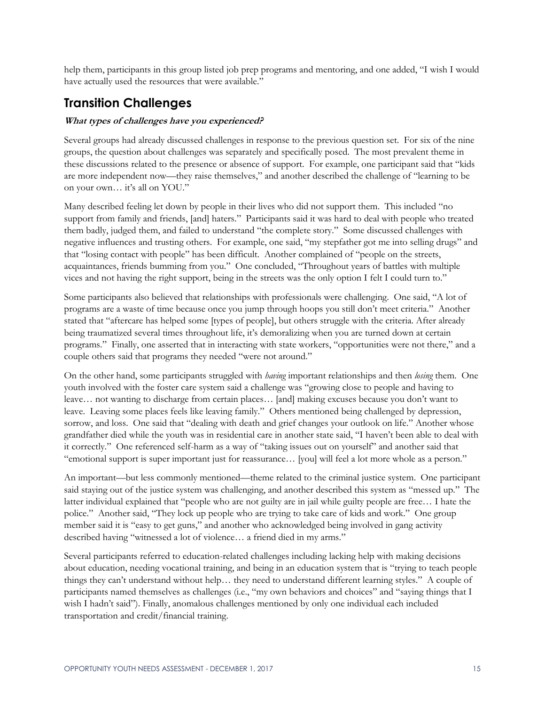help them, participants in this group listed job prep programs and mentoring, and one added, "I wish I would have actually used the resources that were available."

### **Transition Challenges**

#### **What types of challenges have you experienced?**

Several groups had already discussed challenges in response to the previous question set. For six of the nine groups, the question about challenges was separately and specifically posed. The most prevalent theme in these discussions related to the presence or absence of support. For example, one participant said that "kids are more independent now—they raise themselves," and another described the challenge of "learning to be on your own… it's all on YOU."

Many described feeling let down by people in their lives who did not support them. This included "no support from family and friends, [and] haters." Participants said it was hard to deal with people who treated them badly, judged them, and failed to understand "the complete story." Some discussed challenges with negative influences and trusting others. For example, one said, "my stepfather got me into selling drugs" and that "losing contact with people" has been difficult. Another complained of "people on the streets, acquaintances, friends bumming from you." One concluded, "Throughout years of battles with multiple vices and not having the right support, being in the streets was the only option I felt I could turn to."

Some participants also believed that relationships with professionals were challenging. One said, "A lot of programs are a waste of time because once you jump through hoops you still don't meet criteria." Another stated that "aftercare has helped some [types of people], but others struggle with the criteria. After already being traumatized several times throughout life, it's demoralizing when you are turned down at certain programs." Finally, one asserted that in interacting with state workers, "opportunities were not there," and a couple others said that programs they needed "were not around."

On the other hand, some participants struggled with *having* important relationships and then *losing* them. One youth involved with the foster care system said a challenge was "growing close to people and having to leave… not wanting to discharge from certain places… [and] making excuses because you don't want to leave. Leaving some places feels like leaving family." Others mentioned being challenged by depression, sorrow, and loss. One said that "dealing with death and grief changes your outlook on life." Another whose grandfather died while the youth was in residential care in another state said, "I haven't been able to deal with it correctly." One referenced self-harm as a way of "taking issues out on yourself" and another said that "emotional support is super important just for reassurance… [you] will feel a lot more whole as a person."

An important—but less commonly mentioned—theme related to the criminal justice system. One participant said staying out of the justice system was challenging, and another described this system as "messed up." The latter individual explained that "people who are not guilty are in jail while guilty people are free… I hate the police." Another said, "They lock up people who are trying to take care of kids and work." One group member said it is "easy to get guns," and another who acknowledged being involved in gang activity described having "witnessed a lot of violence… a friend died in my arms."

Several participants referred to education-related challenges including lacking help with making decisions about education, needing vocational training, and being in an education system that is "trying to teach people things they can't understand without help… they need to understand different learning styles." A couple of participants named themselves as challenges (i.e., "my own behaviors and choices" and "saying things that I wish I hadn't said"). Finally, anomalous challenges mentioned by only one individual each included transportation and credit/financial training.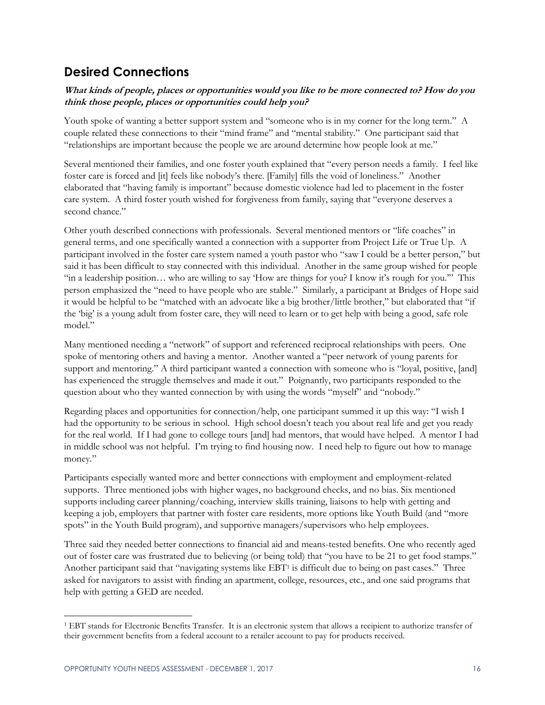### **Desired Connections**

#### **What kinds of people, places or opportunities would you like to be more connected to? How do you think those people, places or opportunities could help you?**

Youth spoke of wanting a better support system and "someone who is in my corner for the long term." A couple related these connections to their "mind frame" and "mental stability." One participant said that "relationships are important because the people we are around determine how people look at me."

Several mentioned their families, and one foster youth explained that "every person needs a family. I feel like foster care is forced and [it] feels like nobody's there. [Family] fills the void of loneliness." Another elaborated that "having family is important" because domestic violence had led to placement in the foster care system. A third foster youth wished for forgiveness from family, saying that "everyone deserves a second chance."

Other youth described connections with professionals. Several mentioned mentors or "life coaches" in general terms, and one specifically wanted a connection with a supporter from Project Life or True Up. A participant involved in the foster care system named a youth pastor who "saw I could be a better person," but said it has been difficult to stay connected with this individual. Another in the same group wished for people "in a leadership position… who are willing to say 'How are things for you? I know it's rough for you.'" This person emphasized the "need to have people who are stable." Similarly, a participant at Bridges of Hope said it would be helpful to be "matched with an advocate like a big brother/little brother," but elaborated that "if the 'big' is a young adult from foster care, they will need to learn or to get help with being a good, safe role model."

Many mentioned needing a "network" of support and referenced reciprocal relationships with peers. One spoke of mentoring others and having a mentor. Another wanted a "peer network of young parents for support and mentoring." A third participant wanted a connection with someone who is "loyal, positive, [and] has experienced the struggle themselves and made it out." Poignantly, two participants responded to the question about who they wanted connection by with using the words "myself" and "nobody."

Regarding places and opportunities for connection/help, one participant summed it up this way: "I wish I had the opportunity to be serious in school. High school doesn't teach you about real life and get you ready for the real world. If I had gone to college tours [and] had mentors, that would have helped. A mentor I had in middle school was not helpful. I'm trying to find housing now. I need help to figure out how to manage money."

Participants especially wanted more and better connections with employment and employment-related supports. Three mentioned jobs with higher wages, no background checks, and no bias. Six mentioned supports including career planning/coaching, interview skills training, liaisons to help with getting and keeping a job, employers that partner with foster care residents, more options like Youth Build (and "more spots" in the Youth Build program), and supportive managers/supervisors who help employees.

Three said they needed better connections to financial aid and means-tested benefits. One who recently aged out of foster care was frustrated due to believing (or being told) that "you have to be 21 to get food stamps." Another participant said that "navigating systems like EBT<sup>1</sup> is difficult due to being on past cases." Three asked for navigators to assist with finding an apartment, college, resources, etc., and one said programs that help with getting a GED are needed.

 $\overline{a}$ 

<sup>1</sup> EBT stands for Electronic Benefits Transfer. It is an electronic system that allows a recipient to authorize transfer of their government benefits from a federal account to a retailer account to pay for products received.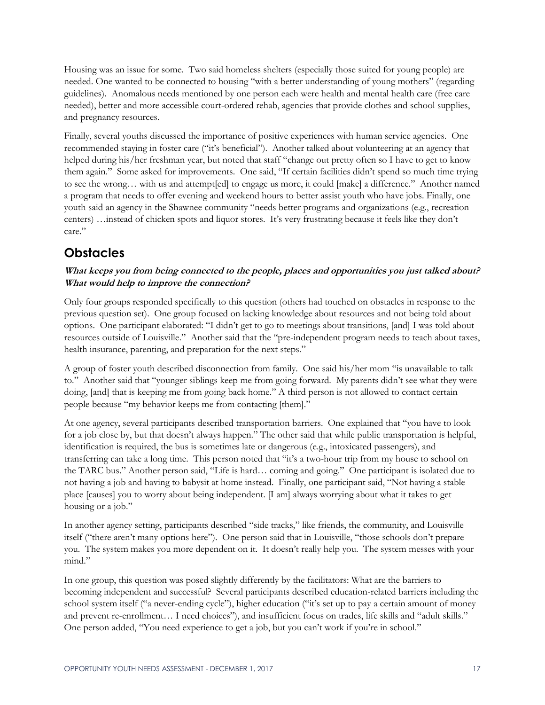Housing was an issue for some. Two said homeless shelters (especially those suited for young people) are needed. One wanted to be connected to housing "with a better understanding of young mothers" (regarding guidelines). Anomalous needs mentioned by one person each were health and mental health care (free care needed), better and more accessible court-ordered rehab, agencies that provide clothes and school supplies, and pregnancy resources.

Finally, several youths discussed the importance of positive experiences with human service agencies. One recommended staying in foster care ("it's beneficial"). Another talked about volunteering at an agency that helped during his/her freshman year, but noted that staff "change out pretty often so I have to get to know them again." Some asked for improvements. One said, "If certain facilities didn't spend so much time trying to see the wrong… with us and attempt[ed] to engage us more, it could [make] a difference." Another named a program that needs to offer evening and weekend hours to better assist youth who have jobs. Finally, one youth said an agency in the Shawnee community "needs better programs and organizations (e.g., recreation centers) …instead of chicken spots and liquor stores. It's very frustrating because it feels like they don't care."

## **Obstacles**

#### **What keeps you from being connected to the people, places and opportunities you just talked about? What would help to improve the connection?**

Only four groups responded specifically to this question (others had touched on obstacles in response to the previous question set). One group focused on lacking knowledge about resources and not being told about options. One participant elaborated: "I didn't get to go to meetings about transitions, [and] I was told about resources outside of Louisville." Another said that the "pre-independent program needs to teach about taxes, health insurance, parenting, and preparation for the next steps."

A group of foster youth described disconnection from family. One said his/her mom "is unavailable to talk to." Another said that "younger siblings keep me from going forward. My parents didn't see what they were doing, [and] that is keeping me from going back home." A third person is not allowed to contact certain people because "my behavior keeps me from contacting [them]."

At one agency, several participants described transportation barriers. One explained that "you have to look for a job close by, but that doesn't always happen." The other said that while public transportation is helpful, identification is required, the bus is sometimes late or dangerous (e.g., intoxicated passengers), and transferring can take a long time. This person noted that "it's a two-hour trip from my house to school on the TARC bus." Another person said, "Life is hard… coming and going." One participant is isolated due to not having a job and having to babysit at home instead. Finally, one participant said, "Not having a stable place [causes] you to worry about being independent. [I am] always worrying about what it takes to get housing or a job."

In another agency setting, participants described "side tracks," like friends, the community, and Louisville itself ("there aren't many options here"). One person said that in Louisville, "those schools don't prepare you. The system makes you more dependent on it. It doesn't really help you. The system messes with your mind."

In one group, this question was posed slightly differently by the facilitators: What are the barriers to becoming independent and successful? Several participants described education-related barriers including the school system itself ("a never-ending cycle"), higher education ("it's set up to pay a certain amount of money and prevent re-enrollment… I need choices"), and insufficient focus on trades, life skills and "adult skills." One person added, "You need experience to get a job, but you can't work if you're in school."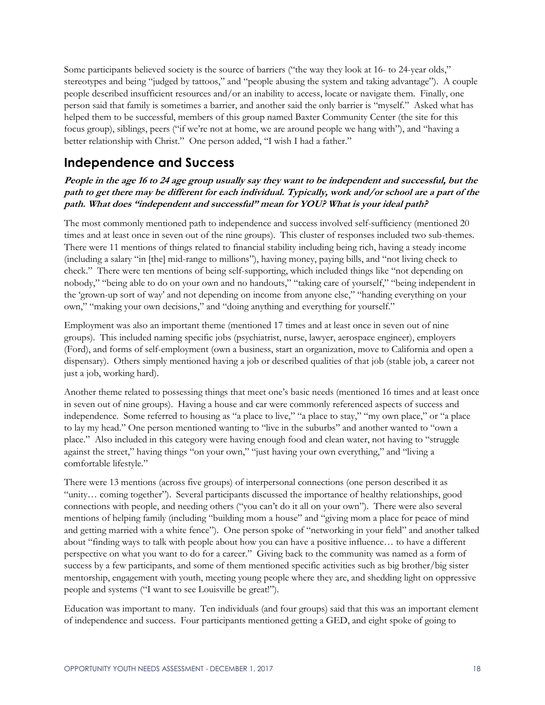Some participants believed society is the source of barriers ("the way they look at 16- to 24-year olds," stereotypes and being "judged by tattoos," and "people abusing the system and taking advantage"). A couple people described insufficient resources and/or an inability to access, locate or navigate them. Finally, one person said that family is sometimes a barrier, and another said the only barrier is "myself." Asked what has helped them to be successful, members of this group named Baxter Community Center (the site for this focus group), siblings, peers ("if we're not at home, we are around people we hang with"), and "having a better relationship with Christ." One person added, "I wish I had a father."

### **Independence and Success**

#### **People in the age 16 to 24 age group usually say they want to be independent and successful, but the path to get there may be different for each individual. Typically, work and/or school are a part of the path. What does "independent and successful" mean for YOU? What is your ideal path?**

The most commonly mentioned path to independence and success involved self-sufficiency (mentioned 20 times and at least once in seven out of the nine groups). This cluster of responses included two sub-themes. There were 11 mentions of things related to financial stability including being rich, having a steady income (including a salary "in [the] mid-range to millions"), having money, paying bills, and "not living check to check." There were ten mentions of being self-supporting, which included things like "not depending on nobody," "being able to do on your own and no handouts," "taking care of yourself," "being independent in the 'grown-up sort of way' and not depending on income from anyone else," "handing everything on your own," "making your own decisions," and "doing anything and everything for yourself."

Employment was also an important theme (mentioned 17 times and at least once in seven out of nine groups). This included naming specific jobs (psychiatrist, nurse, lawyer, aerospace engineer), employers (Ford), and forms of self-employment (own a business, start an organization, move to California and open a dispensary). Others simply mentioned having a job or described qualities of that job (stable job, a career not just a job, working hard).

Another theme related to possessing things that meet one's basic needs (mentioned 16 times and at least once in seven out of nine groups). Having a house and car were commonly referenced aspects of success and independence. Some referred to housing as "a place to live," "a place to stay," "my own place," or "a place to lay my head." One person mentioned wanting to "live in the suburbs" and another wanted to "own a place." Also included in this category were having enough food and clean water, not having to "struggle against the street," having things "on your own," "just having your own everything," and "living a comfortable lifestyle."

There were 13 mentions (across five groups) of interpersonal connections (one person described it as "unity… coming together"). Several participants discussed the importance of healthy relationships, good connections with people, and needing others ("you can't do it all on your own"). There were also several mentions of helping family (including "building mom a house" and "giving mom a place for peace of mind and getting married with a white fence"). One person spoke of "networking in your field" and another talked about "finding ways to talk with people about how you can have a positive influence… to have a different perspective on what you want to do for a career." Giving back to the community was named as a form of success by a few participants, and some of them mentioned specific activities such as big brother/big sister mentorship, engagement with youth, meeting young people where they are, and shedding light on oppressive people and systems ("I want to see Louisville be great!").

Education was important to many. Ten individuals (and four groups) said that this was an important element of independence and success. Four participants mentioned getting a GED, and eight spoke of going to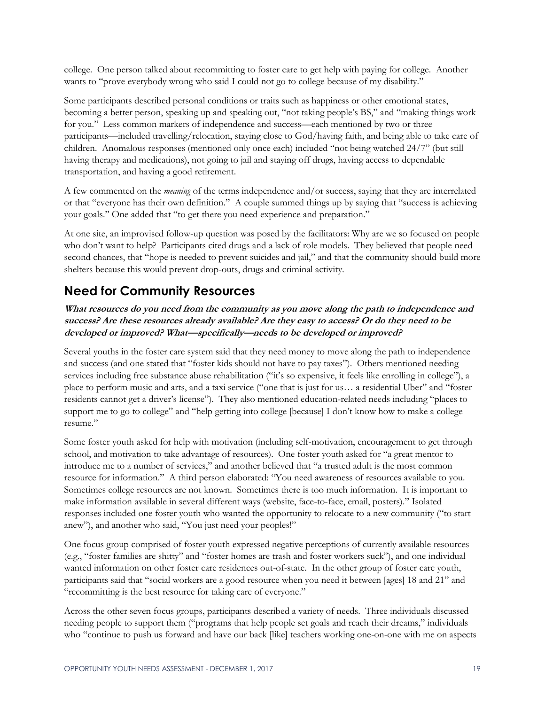college. One person talked about recommitting to foster care to get help with paying for college. Another wants to "prove everybody wrong who said I could not go to college because of my disability."

Some participants described personal conditions or traits such as happiness or other emotional states, becoming a better person, speaking up and speaking out, "not taking people's BS," and "making things work for you." Less common markers of independence and success—each mentioned by two or three participants—included travelling/relocation, staying close to God/having faith, and being able to take care of children. Anomalous responses (mentioned only once each) included "not being watched 24/7" (but still having therapy and medications), not going to jail and staying off drugs, having access to dependable transportation, and having a good retirement.

A few commented on the *meaning* of the terms independence and/or success, saying that they are interrelated or that "everyone has their own definition." A couple summed things up by saying that "success is achieving your goals." One added that "to get there you need experience and preparation."

At one site, an improvised follow-up question was posed by the facilitators: Why are we so focused on people who don't want to help? Participants cited drugs and a lack of role models. They believed that people need second chances, that "hope is needed to prevent suicides and jail," and that the community should build more shelters because this would prevent drop-outs, drugs and criminal activity.

## **Need for Community Resources**

**What resources do you need from the community as you move along the path to independence and success? Are these resources already available? Are they easy to access? Or do they need to be developed or improved? What—specifically—needs to be developed or improved?**

Several youths in the foster care system said that they need money to move along the path to independence and success (and one stated that "foster kids should not have to pay taxes"). Others mentioned needing services including free substance abuse rehabilitation ("it's so expensive, it feels like enrolling in college"), a place to perform music and arts, and a taxi service ("one that is just for us… a residential Uber" and "foster residents cannot get a driver's license"). They also mentioned education-related needs including "places to support me to go to college" and "help getting into college [because] I don't know how to make a college resume."

Some foster youth asked for help with motivation (including self-motivation, encouragement to get through school, and motivation to take advantage of resources). One foster youth asked for "a great mentor to introduce me to a number of services," and another believed that "a trusted adult is the most common resource for information." A third person elaborated: "You need awareness of resources available to you. Sometimes college resources are not known. Sometimes there is too much information. It is important to make information available in several different ways (website, face-to-face, email, posters)." Isolated responses included one foster youth who wanted the opportunity to relocate to a new community ("to start anew"), and another who said, "You just need your peoples!"

One focus group comprised of foster youth expressed negative perceptions of currently available resources (e.g., "foster families are shitty" and "foster homes are trash and foster workers suck"), and one individual wanted information on other foster care residences out-of-state. In the other group of foster care youth, participants said that "social workers are a good resource when you need it between [ages] 18 and 21" and "recommitting is the best resource for taking care of everyone."

Across the other seven focus groups, participants described a variety of needs. Three individuals discussed needing people to support them ("programs that help people set goals and reach their dreams," individuals who "continue to push us forward and have our back [like] teachers working one-on-one with me on aspects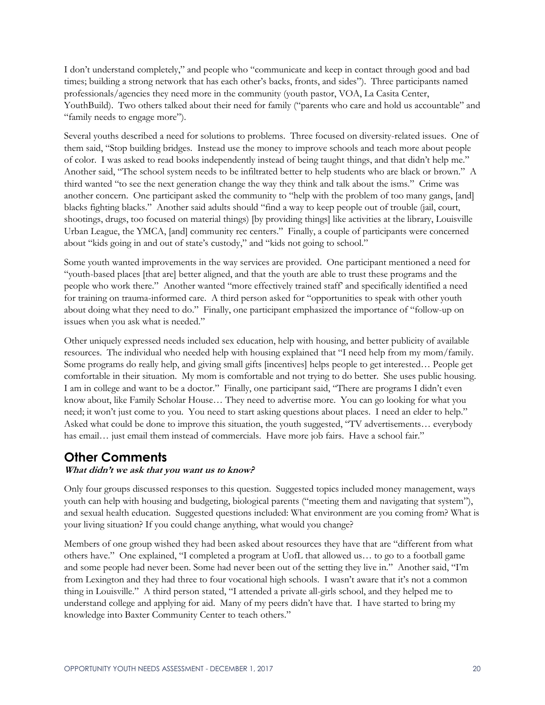I don't understand completely," and people who "communicate and keep in contact through good and bad times; building a strong network that has each other's backs, fronts, and sides"). Three participants named professionals/agencies they need more in the community (youth pastor, VOA, La Casita Center, YouthBuild). Two others talked about their need for family ("parents who care and hold us accountable" and "family needs to engage more").

Several youths described a need for solutions to problems. Three focused on diversity-related issues. One of them said, "Stop building bridges. Instead use the money to improve schools and teach more about people of color. I was asked to read books independently instead of being taught things, and that didn't help me." Another said, "The school system needs to be infiltrated better to help students who are black or brown." A third wanted "to see the next generation change the way they think and talk about the isms." Crime was another concern. One participant asked the community to "help with the problem of too many gangs, [and] blacks fighting blacks." Another said adults should "find a way to keep people out of trouble (jail, court, shootings, drugs, too focused on material things) [by providing things] like activities at the library, Louisville Urban League, the YMCA, [and] community rec centers." Finally, a couple of participants were concerned about "kids going in and out of state's custody," and "kids not going to school."

Some youth wanted improvements in the way services are provided. One participant mentioned a need for "youth-based places [that are] better aligned, and that the youth are able to trust these programs and the people who work there." Another wanted "more effectively trained staff' and specifically identified a need for training on trauma-informed care. A third person asked for "opportunities to speak with other youth about doing what they need to do." Finally, one participant emphasized the importance of "follow-up on issues when you ask what is needed."

Other uniquely expressed needs included sex education, help with housing, and better publicity of available resources. The individual who needed help with housing explained that "I need help from my mom/family. Some programs do really help, and giving small gifts [incentives] helps people to get interested… People get comfortable in their situation. My mom is comfortable and not trying to do better. She uses public housing. I am in college and want to be a doctor." Finally, one participant said, "There are programs I didn't even know about, like Family Scholar House… They need to advertise more. You can go looking for what you need; it won't just come to you. You need to start asking questions about places. I need an elder to help." Asked what could be done to improve this situation, the youth suggested, "TV advertisements… everybody has email... just email them instead of commercials. Have more job fairs. Have a school fair."

### **Other Comments**

#### **What didn't we ask that you want us to know?**

Only four groups discussed responses to this question. Suggested topics included money management, ways youth can help with housing and budgeting, biological parents ("meeting them and navigating that system"), and sexual health education. Suggested questions included: What environment are you coming from? What is your living situation? If you could change anything, what would you change?

Members of one group wished they had been asked about resources they have that are "different from what others have." One explained, "I completed a program at UofL that allowed us… to go to a football game and some people had never been. Some had never been out of the setting they live in." Another said, "I'm from Lexington and they had three to four vocational high schools. I wasn't aware that it's not a common thing in Louisville." A third person stated, "I attended a private all-girls school, and they helped me to understand college and applying for aid. Many of my peers didn't have that. I have started to bring my knowledge into Baxter Community Center to teach others."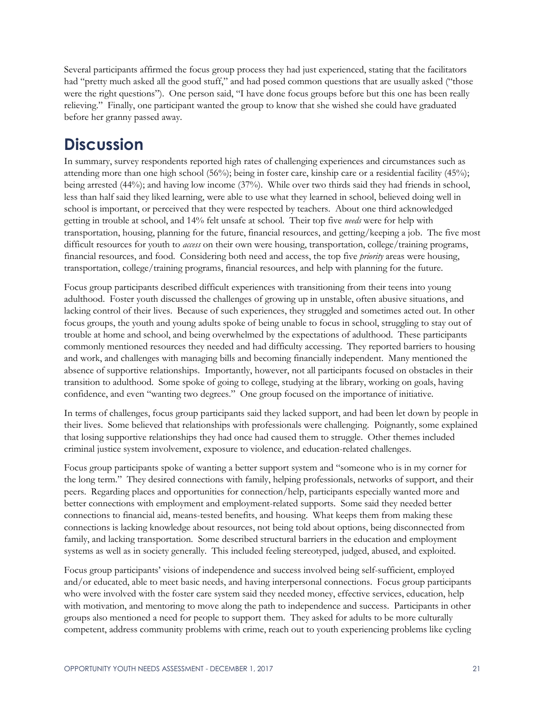Several participants affirmed the focus group process they had just experienced, stating that the facilitators had "pretty much asked all the good stuff," and had posed common questions that are usually asked ("those were the right questions"). One person said, "I have done focus groups before but this one has been really relieving." Finally, one participant wanted the group to know that she wished she could have graduated before her granny passed away.

# **Discussion**

In summary, survey respondents reported high rates of challenging experiences and circumstances such as attending more than one high school (56%); being in foster care, kinship care or a residential facility (45%); being arrested (44%); and having low income (37%). While over two thirds said they had friends in school, less than half said they liked learning, were able to use what they learned in school, believed doing well in school is important, or perceived that they were respected by teachers. About one third acknowledged getting in trouble at school, and 14% felt unsafe at school. Their top five *needs* were for help with transportation, housing, planning for the future, financial resources, and getting/keeping a job. The five most difficult resources for youth to *access* on their own were housing, transportation, college/training programs, financial resources, and food. Considering both need and access, the top five *priority* areas were housing, transportation, college/training programs, financial resources, and help with planning for the future.

Focus group participants described difficult experiences with transitioning from their teens into young adulthood. Foster youth discussed the challenges of growing up in unstable, often abusive situations, and lacking control of their lives. Because of such experiences, they struggled and sometimes acted out. In other focus groups, the youth and young adults spoke of being unable to focus in school, struggling to stay out of trouble at home and school, and being overwhelmed by the expectations of adulthood. These participants commonly mentioned resources they needed and had difficulty accessing. They reported barriers to housing and work, and challenges with managing bills and becoming financially independent. Many mentioned the absence of supportive relationships. Importantly, however, not all participants focused on obstacles in their transition to adulthood. Some spoke of going to college, studying at the library, working on goals, having confidence, and even "wanting two degrees." One group focused on the importance of initiative.

In terms of challenges, focus group participants said they lacked support, and had been let down by people in their lives. Some believed that relationships with professionals were challenging. Poignantly, some explained that losing supportive relationships they had once had caused them to struggle. Other themes included criminal justice system involvement, exposure to violence, and education-related challenges.

Focus group participants spoke of wanting a better support system and "someone who is in my corner for the long term." They desired connections with family, helping professionals, networks of support, and their peers. Regarding places and opportunities for connection/help, participants especially wanted more and better connections with employment and employment-related supports. Some said they needed better connections to financial aid, means-tested benefits, and housing. What keeps them from making these connections is lacking knowledge about resources, not being told about options, being disconnected from family, and lacking transportation. Some described structural barriers in the education and employment systems as well as in society generally. This included feeling stereotyped, judged, abused, and exploited.

Focus group participants' visions of independence and success involved being self-sufficient, employed and/or educated, able to meet basic needs, and having interpersonal connections. Focus group participants who were involved with the foster care system said they needed money, effective services, education, help with motivation, and mentoring to move along the path to independence and success. Participants in other groups also mentioned a need for people to support them. They asked for adults to be more culturally competent, address community problems with crime, reach out to youth experiencing problems like cycling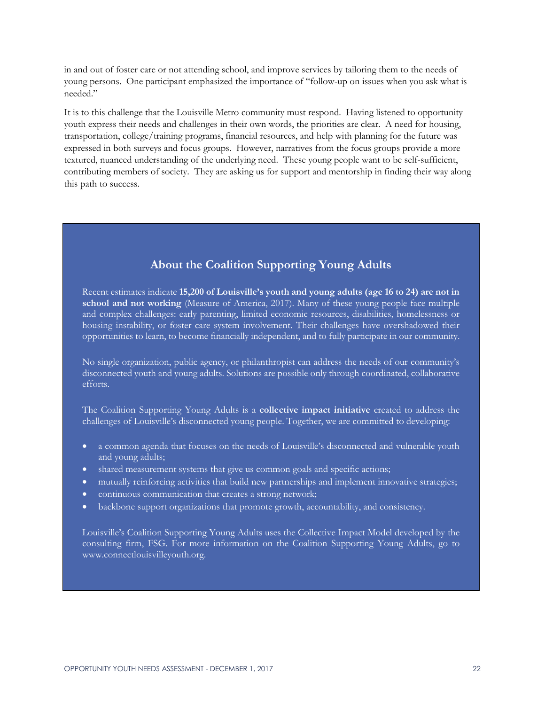in and out of foster care or not attending school, and improve services by tailoring them to the needs of young persons. One participant emphasized the importance of "follow-up on issues when you ask what is needed."

It is to this challenge that the Louisville Metro community must respond. Having listened to opportunity youth express their needs and challenges in their own words, the priorities are clear. A need for housing, transportation, college/training programs, financial resources, and help with planning for the future was expressed in both surveys and focus groups. However, narratives from the focus groups provide a more textured, nuanced understanding of the underlying need. These young people want to be self-sufficient, contributing members of society. They are asking us for support and mentorship in finding their way along this path to success.

### **About the Coalition Supporting Young Adults**

Recent estimates indicate **15,200 of Louisville's youth and young adults (age 16 to 24) are not in school and not working** (Measure of America, 2017). Many of these young people face multiple and complex challenges: early parenting, limited economic resources, disabilities, homelessness or housing instability, or foster care system involvement. Their challenges have overshadowed their opportunities to learn, to become financially independent, and to fully participate in our community.

No single organization, public agency, or philanthropist can address the needs of our community's disconnected youth and young adults. Solutions are possible only through coordinated, collaborative efforts.

The Coalition Supporting Young Adults is a **collective impact initiative** created to address the challenges of Louisville's disconnected young people. Together, we are committed to developing:

- a common agenda that focuses on the needs of Louisville's disconnected and vulnerable youth and young adults;
- shared measurement systems that give us common goals and specific actions;
- mutually reinforcing activities that build new partnerships and implement innovative strategies;
- continuous communication that creates a strong network;
- backbone support organizations that promote growth, accountability, and consistency.

Louisville's Coalition Supporting Young Adults uses the Collective Impact Model developed by the consulting firm, FSG. For more information on the Coalition Supporting Young Adults, go to www.connectlouisvilleyouth.org.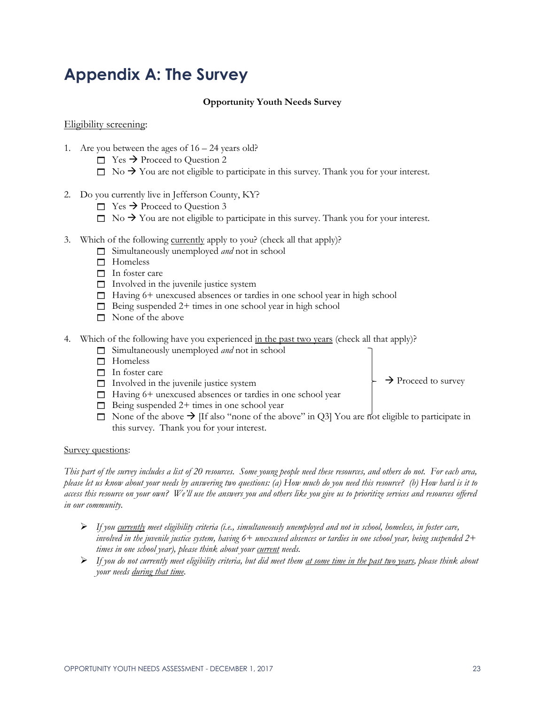# **Appendix A: The Survey**

#### **Opportunity Youth Needs Survey**

#### Eligibility screening:

- 1. Are you between the ages of 16 24 years old?
	- $\Box$  Yes  $\rightarrow$  Proceed to Question 2
	- $\Box$  No  $\rightarrow$  You are not eligible to participate in this survey. Thank you for your interest.
- 2. Do you currently live in Jefferson County, KY?
	- $\Box$  Yes  $\rightarrow$  Proceed to Question 3
	- $\Box$  No  $\rightarrow$  You are not eligible to participate in this survey. Thank you for your interest.
- 3. Which of the following currently apply to you? (check all that apply)?
	- Simultaneously unemployed *and* not in school
	- $\Box$  Homeless
	- $\Box$  In foster care
	- $\Box$  Involved in the juvenile justice system
	- $\Box$  Having 6+ unexcused absences or tardies in one school year in high school
	- $\Box$  Being suspended 2+ times in one school year in high school
	- $\Box$  None of the above
- 4. Which of the following have you experienced in the past two years (check all that apply)?
	- Simultaneously unemployed *and* not in school
	- □ Homeless
	- □ In foster care
	- $\Box$  Involved in the juvenile justice system
	- $\Box$  Having 6+ unexcused absences or tardies in one school year
	- $\Box$  Being suspended 2+ times in one school year
	- $\Box$  None of the above  $\rightarrow$  [If also "none of the above" in Q3] You are not eligible to participate in this survey. Thank you for your interest.

#### Survey questions:

*This part of the survey includes a list of 20 resources. Some young people need these resources, and others do not. For each area, please let us know about your needs by answering two questions: (a) How much do you need this resource? (b) How hard is it to access this resource on your own? We'll use the answers you and others like you give us to prioritize services and resources offered in our community.*

- ➢ *If you currently meet eligibility criteria (i.e., simultaneously unemployed and not in school, homeless, in foster care, involved in the juvenile justice system, having 6+ unexcused absences or tardies in one school year, being suspended 2+ times in one school year), please think about your current needs.*
- ➢ *If you do not currently meet eligibility criteria, but did meet them at some time in the past two years, please think about your needs during that time.*

 $\rightarrow$  Proceed to survey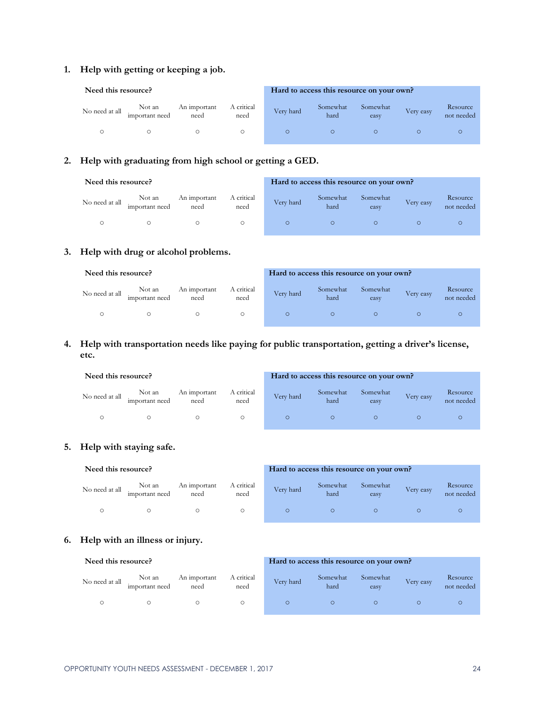#### **1. Help with getting or keeping a job.**

| Need this resource? |                          |                      |                    | Hard to access this resource on your own? |                  |                  |           |                        |
|---------------------|--------------------------|----------------------|--------------------|-------------------------------------------|------------------|------------------|-----------|------------------------|
| No need at all      | Not an<br>important need | An important<br>need | A critical<br>need | Very hard                                 | Somewhat<br>hard | Somewhat<br>easy | Very easy | Resource<br>not needed |
|                     |                          |                      |                    |                                           |                  |                  |           |                        |

#### **2. Help with graduating from high school or getting a GED.**

| Need this resource? |                          |                      | Hard to access this resource on your own? |           |                  |                  |           |                        |
|---------------------|--------------------------|----------------------|-------------------------------------------|-----------|------------------|------------------|-----------|------------------------|
| No need at all      | Not an<br>important need | An important<br>need | A critical<br>need                        | Very hard | Somewhat<br>hard | Somewhat<br>easy | Very easy | Resource<br>not needed |
|                     |                          |                      |                                           |           |                  |                  |           |                        |

#### **3. Help with drug or alcohol problems.**

| Need this resource? |                          |                      | Hard to access this resource on your own? |           |                  |                  |           |                        |
|---------------------|--------------------------|----------------------|-------------------------------------------|-----------|------------------|------------------|-----------|------------------------|
| No need at all      | Not an<br>important need | An important<br>need | A critical<br>need                        | Very hard | Somewhat<br>hard | Somewhat<br>easy | Very easy | Resource<br>not needed |
|                     |                          |                      |                                           |           |                  |                  |           |                        |

#### **4. Help with transportation needs like paying for public transportation, getting a driver's license, etc.**

| Need this resource? |                          |                      | Hard to access this resource on your own? |           |                  |                  |           |                        |
|---------------------|--------------------------|----------------------|-------------------------------------------|-----------|------------------|------------------|-----------|------------------------|
| No need at all      | Not an<br>important need | An important<br>need | A critical<br>need                        | Very hard | Somewhat<br>hard | Somewhat<br>easy | Very easy | Resource<br>not needed |
|                     |                          |                      |                                           |           |                  |                  |           |                        |

#### **5. Help with staying safe.**

| Need this resource? |                          |                      |                    | Hard to access this resource on your own? |                  |                  |           |                        |
|---------------------|--------------------------|----------------------|--------------------|-------------------------------------------|------------------|------------------|-----------|------------------------|
| No need at all      | Not an<br>important need | An important<br>need | A critical<br>need | Very hard                                 | Somewhat<br>hard | Somewhat<br>easy | Very easy | Resource<br>not needed |
|                     |                          |                      | О                  |                                           |                  |                  |           |                        |

#### **6. Help with an illness or injury.**

| Need this resource? |                          |                      |                    |           | Hard to access this resource on your own? |                  |           |                        |
|---------------------|--------------------------|----------------------|--------------------|-----------|-------------------------------------------|------------------|-----------|------------------------|
| No need at all      | Not an<br>important need | An important<br>need | A critical<br>need | Very hard | Somewhat<br>hard                          | Somewhat<br>easy | Very easy | Resource<br>not needed |
|                     |                          |                      |                    |           |                                           |                  |           |                        |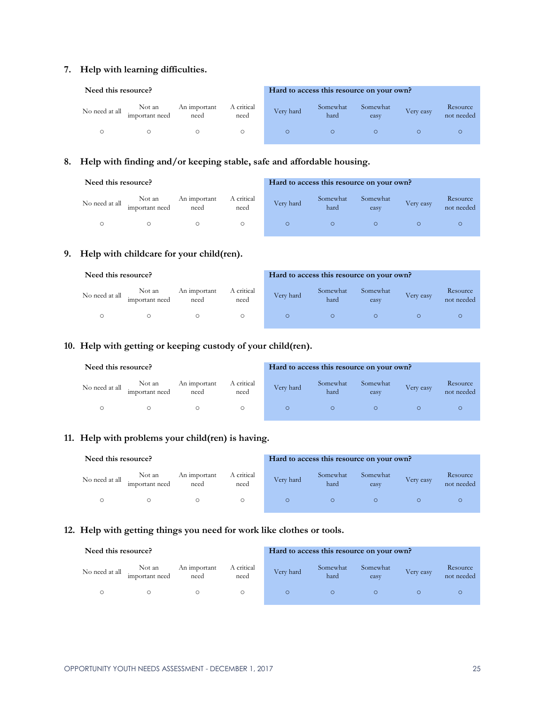#### **7. Help with learning difficulties.**

| Need this resource? |                          |                      |                    |           | Hard to access this resource on your own? |                  |           |                        |
|---------------------|--------------------------|----------------------|--------------------|-----------|-------------------------------------------|------------------|-----------|------------------------|
| No need at all      | Not an<br>important need | An important<br>need | A critical<br>need | Very hard | Somewhat<br>hard                          | Somewhat<br>easy | Very easy | Resource<br>not needed |
|                     |                          |                      |                    |           |                                           |                  |           |                        |

#### **8. Help with finding and/or keeping stable, safe and affordable housing.**

| Need this resource? |                          |                      |                    |           | Hard to access this resource on your own? |                  |           |                        |
|---------------------|--------------------------|----------------------|--------------------|-----------|-------------------------------------------|------------------|-----------|------------------------|
| No need at all      | Not an<br>important need | An important<br>need | A critical<br>need | Very hard | Somewhat<br>hard                          | Somewhat<br>easy | Very easy | Resource<br>not needed |
|                     |                          |                      |                    |           |                                           |                  |           |                        |

#### **9. Help with childcare for your child(ren).**

| Need this resource? |                          |                      |                    |           | Hard to access this resource on your own? |                  |           |                        |
|---------------------|--------------------------|----------------------|--------------------|-----------|-------------------------------------------|------------------|-----------|------------------------|
| No need at all      | Not an<br>important need | An important<br>need | A critical<br>need | Very hard | Somewhat<br>hard                          | Somewhat<br>easy | Very easy | Resource<br>not needed |
|                     |                          |                      |                    |           |                                           |                  |           |                        |

#### **10. Help with getting or keeping custody of your child(ren).**

| Need this resource? |                          |                      |                    |           | Hard to access this resource on your own? |                  |           |                        |
|---------------------|--------------------------|----------------------|--------------------|-----------|-------------------------------------------|------------------|-----------|------------------------|
| No need at all      | Not an<br>important need | An important<br>need | A critical<br>need | Very hard | Somewhat<br>hard                          | Somewhat<br>easy | Very easy | Resource<br>not needed |
|                     |                          |                      |                    |           | $\circ$                                   |                  |           |                        |

#### **11. Help with problems your child(ren) is having.**

| Need this resource? |                          |                      |                    | Hard to access this resource on your own? |                  |                  |           |                        |
|---------------------|--------------------------|----------------------|--------------------|-------------------------------------------|------------------|------------------|-----------|------------------------|
| No need at all      | Not an<br>important need | An important<br>need | A critical<br>need | Very hard                                 | Somewhat<br>hard | Somewhat<br>easy | Very easy | Resource<br>not needed |
|                     |                          |                      | $\circ$            |                                           |                  |                  |           |                        |

#### **12. Help with getting things you need for work like clothes or tools.**

| Need this resource? |                          |                      |                    | Hard to access this resource on your own? |                  |                  |           |                        |
|---------------------|--------------------------|----------------------|--------------------|-------------------------------------------|------------------|------------------|-----------|------------------------|
| No need at all      | Not an<br>important need | An important<br>need | A critical<br>need | Very hard                                 | Somewhat<br>hard | Somewhat<br>easy | Very easy | Resource<br>not needed |
|                     |                          |                      |                    |                                           |                  |                  |           |                        |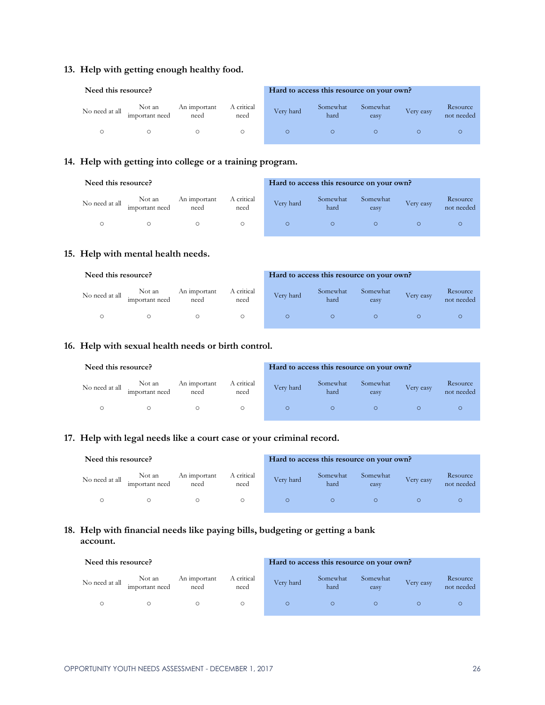#### **13. Help with getting enough healthy food.**

| Need this resource? |                          |                      |                    | Hard to access this resource on your own? |                  |                  |           |                        |
|---------------------|--------------------------|----------------------|--------------------|-------------------------------------------|------------------|------------------|-----------|------------------------|
| No need at all      | Not an<br>important need | An important<br>need | A critical<br>need | Very hard                                 | Somewhat<br>hard | Somewhat<br>easy | Very easy | Resource<br>not needed |
|                     |                          |                      |                    |                                           |                  |                  |           |                        |

#### **14. Help with getting into college or a training program.**

| Need this resource? |                          |                      |                    | Hard to access this resource on your own? |                  |                  |           |                        |
|---------------------|--------------------------|----------------------|--------------------|-------------------------------------------|------------------|------------------|-----------|------------------------|
| No need at all      | Not an<br>important need | An important<br>need | A critical<br>need | Very hard                                 | Somewhat<br>hard | Somewhat<br>easy | Very easy | Resource<br>not needed |
|                     |                          |                      |                    |                                           |                  |                  |           |                        |

#### **15. Help with mental health needs.**

| Need this resource? |                          |                      |                    | Hard to access this resource on your own? |                  |                  |           | Resource   |  |  |
|---------------------|--------------------------|----------------------|--------------------|-------------------------------------------|------------------|------------------|-----------|------------|--|--|
| No need at all      | Not an<br>important need | An important<br>need | A critical<br>need | Very hard                                 | Somewhat<br>hard | Somewhat<br>easy | Very easy | not needed |  |  |
|                     |                          |                      |                    |                                           |                  |                  |           |            |  |  |

#### **16. Help with sexual health needs or birth control.**

| Need this resource? |                          |                      |                    |           | Hard to access this resource on your own? |                  |           |                        |
|---------------------|--------------------------|----------------------|--------------------|-----------|-------------------------------------------|------------------|-----------|------------------------|
| No need at all      | Not an<br>important need | An important<br>need | A critical<br>need | Very hard | Somewhat<br>hard                          | Somewhat<br>easy | Very easy | Resource<br>not needed |
|                     |                          |                      |                    |           | $\circ$                                   |                  |           |                        |

#### **17. Help with legal needs like a court case or your criminal record.**

| Need this resource? |                          |                      |                    | Hard to access this resource on your own? |                  |                  |           |                        |
|---------------------|--------------------------|----------------------|--------------------|-------------------------------------------|------------------|------------------|-----------|------------------------|
| No need at all      | Not an<br>important need | An important<br>need | A critical<br>need | Very hard                                 | Somewhat<br>hard | Somewhat<br>easy | Very easy | Resource<br>not needed |
|                     |                          |                      |                    | $\circ$                                   |                  |                  |           |                        |

#### **18. Help with financial needs like paying bills, budgeting or getting a bank account.**

| Need this resource? |                          |                      |                    | Hard to access this resource on your own? |                  |                  |           |                        |  |
|---------------------|--------------------------|----------------------|--------------------|-------------------------------------------|------------------|------------------|-----------|------------------------|--|
| No need at all      | Not an<br>important need | An important<br>need | A critical<br>need | Very hard                                 | Somewhat<br>hard | Somewhat<br>easy | Very easy | Resource<br>not needed |  |
|                     |                          |                      |                    |                                           |                  |                  |           |                        |  |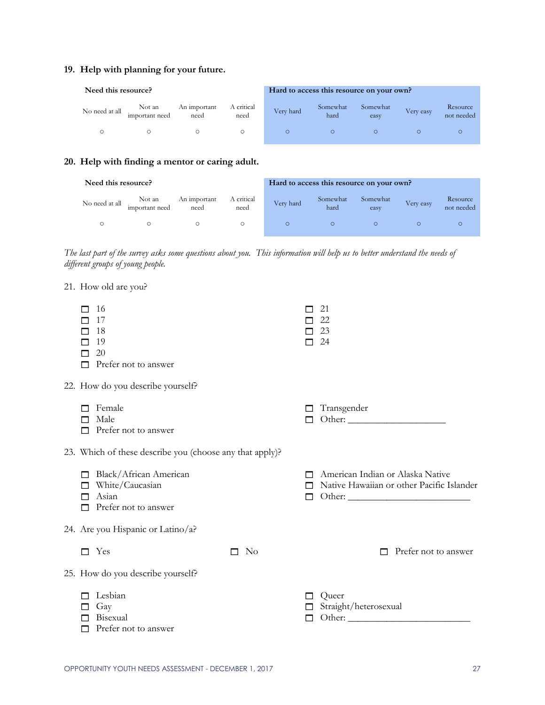#### **19. Help with planning for your future.**

| Need this resource? |                          |                      |                    | Hard to access this resource on your own? |                  |                  |           |                        |  |
|---------------------|--------------------------|----------------------|--------------------|-------------------------------------------|------------------|------------------|-----------|------------------------|--|
| No need at all      | Not an<br>important need | An important<br>need | A critical<br>need | Very hard                                 | Somewhat<br>hard | Somewhat<br>easy | Very easy | Resource<br>not needed |  |
|                     |                          |                      |                    |                                           |                  |                  |           |                        |  |

#### **20. Help with finding a mentor or caring adult.**

| Need this resource? |                          |                      |                    | Hard to access this resource on your own? |                  |                  |           |                        |  |
|---------------------|--------------------------|----------------------|--------------------|-------------------------------------------|------------------|------------------|-----------|------------------------|--|
| No need at all      | Not an<br>important need | An important<br>need | A critical<br>need | Very hard                                 | Somewhat<br>hard | Somewhat<br>easy | Very easy | Resource<br>not needed |  |
|                     |                          |                      |                    |                                           | $\circ$          |                  |           |                        |  |

*The last part of the survey asks some questions about you. This information will help us to better understand the needs of different groups of young people.* 

| 21. How old are you?                                                                           |                |   |                                                                               |
|------------------------------------------------------------------------------------------------|----------------|---|-------------------------------------------------------------------------------|
| -16<br>17<br>18<br>П<br>19<br>20<br>Prefer not to answer<br>П                                  |                |   | 21<br>22<br>23<br>24                                                          |
| 22. How do you describe yourself?                                                              |                |   |                                                                               |
| Female<br>Male<br>Prefer not to answer<br>ш                                                    |                |   | Transgender                                                                   |
| 23. Which of these describe you (choose any that apply)?                                       |                |   |                                                                               |
| Black/African American<br>П<br>White/Caucasian<br>П<br>Asian<br>г<br>Prefer not to answer<br>П |                | П | American Indian or Alaska Native<br>Native Hawaiian or other Pacific Islander |
| 24. Are you Hispanic or Latino/a?                                                              |                |   |                                                                               |
| Yes<br>П                                                                                       | N <sub>o</sub> |   | Prefer not to answer                                                          |
| 25. How do you describe yourself?                                                              |                |   |                                                                               |
| Lesbian<br>Gay<br>$\mathbf{L}$<br>Bisexual<br>Prefer not to answer                             |                | П | Queer<br>Straight/heterosexual                                                |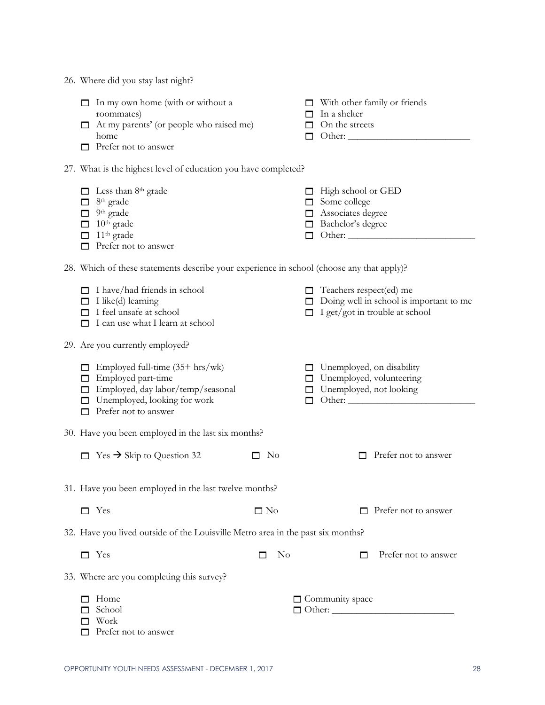|  | 26. Where did you stay last night? |  |  |  |  |  |
|--|------------------------------------|--|--|--|--|--|
|--|------------------------------------|--|--|--|--|--|

|                                      | $\Box$ In my own home (with or without a<br>roommates)<br>At my parents' (or people who raised me)<br>home<br>Prefer not to answer                                               |           | n                          | With other family or friends<br>In a shelter<br>$\Box$ On the streets                                              |  |  |  |
|--------------------------------------|----------------------------------------------------------------------------------------------------------------------------------------------------------------------------------|-----------|----------------------------|--------------------------------------------------------------------------------------------------------------------|--|--|--|
|                                      | 27. What is the highest level of education you have completed?                                                                                                                   |           |                            |                                                                                                                    |  |  |  |
| □<br>$\Box$<br>$\Box$<br>$\Box$<br>П | $\Box$ Less than 8 <sup>th</sup> grade<br>8 <sup>th</sup> grade<br>9th grade<br>10 <sup>th</sup> grade<br>$11th$ grade<br>Prefer not to answer                                   |           | П<br>□<br>$\Box$<br>□      | $\Box$ High school or GED<br>Some college<br>Associates degree<br>Bachelor's degree                                |  |  |  |
|                                      | 28. Which of these statements describe your experience in school (choose any that apply)?                                                                                        |           |                            |                                                                                                                    |  |  |  |
|                                      | $\Box$ I have/had friends in school<br>$\Box$ I like(d) learning<br>$\Box$ I feel unsafe at school<br>$\Box$ I can use what I learn at school                                    |           | □                          | Teachers respect(ed) me<br>$\Box$ Doing well in school is important to me<br>$\Box$ I get/got in trouble at school |  |  |  |
|                                      | 29. Are you currently employed?                                                                                                                                                  |           |                            |                                                                                                                    |  |  |  |
|                                      | $\Box$ Employed full-time (35+ hrs/wk)<br>$\Box$ Employed part-time<br>□ Employed, day labor/temp/seasonal<br>$\Box$ Unemployed, looking for work<br>$\Box$ Prefer not to answer |           | □<br>$\Box$<br>□<br>$\Box$ | Unemployed, on disability<br>Unemployed, volunteering<br>Unemployed, not looking                                   |  |  |  |
|                                      | 30. Have you been employed in the last six months?                                                                                                                               |           |                            |                                                                                                                    |  |  |  |
|                                      | $\Box$ Yes $\rightarrow$ Skip to Question 32                                                                                                                                     | $\Box$ No |                            | Prefer not to answer                                                                                               |  |  |  |
|                                      | 31. Have you been employed in the last twelve months?                                                                                                                            |           |                            |                                                                                                                    |  |  |  |
| □                                    | Yes                                                                                                                                                                              | $\Box$ No |                            | Prefer not to answer                                                                                               |  |  |  |
|                                      | 32. Have you lived outside of the Louisville Metro area in the past six months?                                                                                                  |           |                            |                                                                                                                    |  |  |  |
|                                      | $\Box$ Yes                                                                                                                                                                       | $\rm No$  |                            | Prefer not to answer<br>П                                                                                          |  |  |  |
|                                      | 33. Where are you completing this survey?                                                                                                                                        |           |                            |                                                                                                                    |  |  |  |
|                                      | Home<br>School<br>Work                                                                                                                                                           |           |                            | $\Box$ Community space<br>$\Box$ Other:                                                                            |  |  |  |

□ Prefer not to answer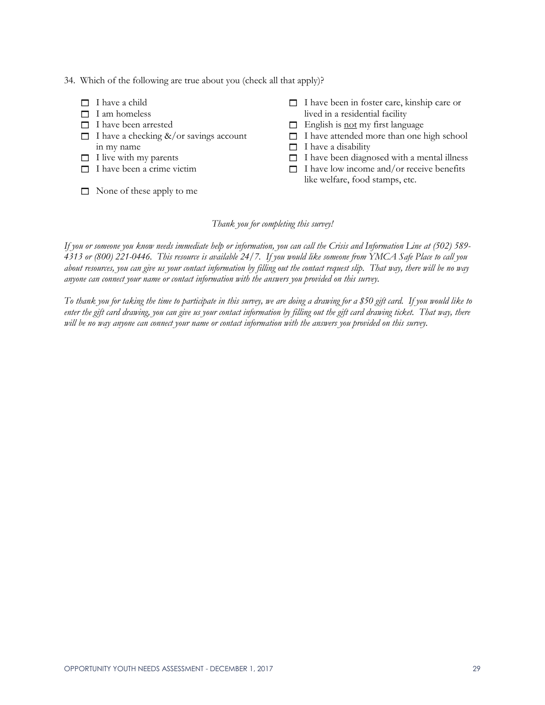#### 34. Which of the following are true about you (check all that apply)?

- $\Box$  I have a child
- $\Box$  I am homeless
- $\Box$  I have been arrested
- $\Box$  I have a checking &/or savings account in my name
- $\Box$  I live with my parents
- $\Box$  I have been a crime victim
- $\Box$  None of these apply to me
- $\Box$  I have been in foster care, kinship care or lived in a residential facility
- $\Box$  English is <u>not</u> my first language
- $\Box$  I have attended more than one high school
- $\Box$  I have a disability
- $\Box$  I have been diagnosed with a mental illness
- $\Box$  I have low income and/or receive benefits like welfare, food stamps, etc.

#### *Thank you for completing this survey!*

*If you or someone you know needs immediate help or information, you can call the Crisis and Information Line at (502) 589- 4313 or (800) 221-0446. This resource is available 24/7. If you would like someone from YMCA Safe Place to call you about resources, you can give us your contact information by filling out the contact request slip. That way, there will be no way anyone can connect your name or contact information with the answers you provided on this survey.*

*To thank you for taking the time to participate in this survey, we are doing a drawing for a \$50 gift card. If you would like to enter the gift card drawing, you can give us your contact information by filling out the gift card drawing ticket. That way, there will be no way anyone can connect your name or contact information with the answers you provided on this survey.*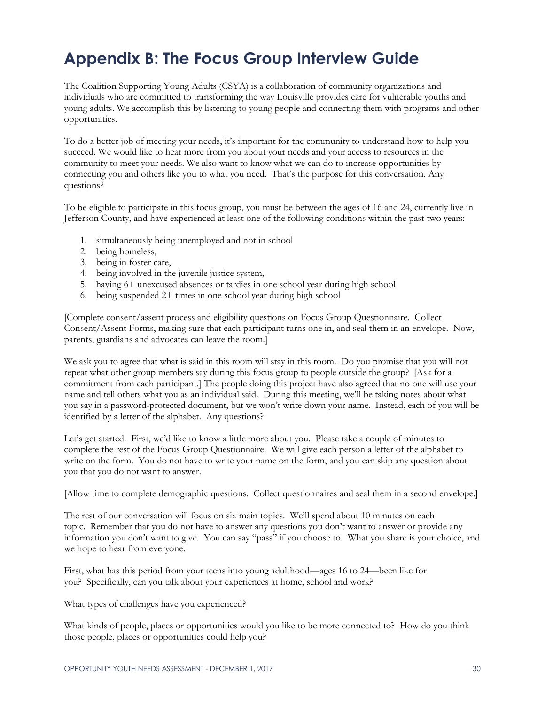# **Appendix B: The Focus Group Interview Guide**

The Coalition Supporting Young Adults (CSYA) is a collaboration of community organizations and individuals who are committed to transforming the way Louisville provides care for vulnerable youths and young adults. We accomplish this by listening to young people and connecting them with programs and other opportunities.

To do a better job of meeting your needs, it's important for the community to understand how to help you succeed. We would like to hear more from you about your needs and your access to resources in the community to meet your needs. We also want to know what we can do to increase opportunities by connecting you and others like you to what you need. That's the purpose for this conversation. Any questions?

To be eligible to participate in this focus group, you must be between the ages of 16 and 24, currently live in Jefferson County, and have experienced at least one of the following conditions within the past two years:

- 1. simultaneously being unemployed and not in school
- 2. being homeless,
- 3. being in foster care,
- 4. being involved in the juvenile justice system,
- 5. having 6+ unexcused absences or tardies in one school year during high school
- 6. being suspended 2+ times in one school year during high school

[Complete consent/assent process and eligibility questions on Focus Group Questionnaire. Collect Consent/Assent Forms, making sure that each participant turns one in, and seal them in an envelope. Now, parents, guardians and advocates can leave the room.]

We ask you to agree that what is said in this room will stay in this room. Do you promise that you will not repeat what other group members say during this focus group to people outside the group? [Ask for a commitment from each participant.] The people doing this project have also agreed that no one will use your name and tell others what you as an individual said. During this meeting, we'll be taking notes about what you say in a password-protected document, but we won't write down your name. Instead, each of you will be identified by a letter of the alphabet. Any questions?

Let's get started. First, we'd like to know a little more about you. Please take a couple of minutes to complete the rest of the Focus Group Questionnaire. We will give each person a letter of the alphabet to write on the form. You do not have to write your name on the form, and you can skip any question about you that you do not want to answer.

[Allow time to complete demographic questions. Collect questionnaires and seal them in a second envelope.]

The rest of our conversation will focus on six main topics. We'll spend about 10 minutes on each topic. Remember that you do not have to answer any questions you don't want to answer or provide any information you don't want to give. You can say "pass" if you choose to. What you share is your choice, and we hope to hear from everyone.

First, what has this period from your teens into young adulthood—ages 16 to 24—been like for you? Specifically, can you talk about your experiences at home, school and work?

What types of challenges have you experienced?

What kinds of people, places or opportunities would you like to be more connected to? How do you think those people, places or opportunities could help you?